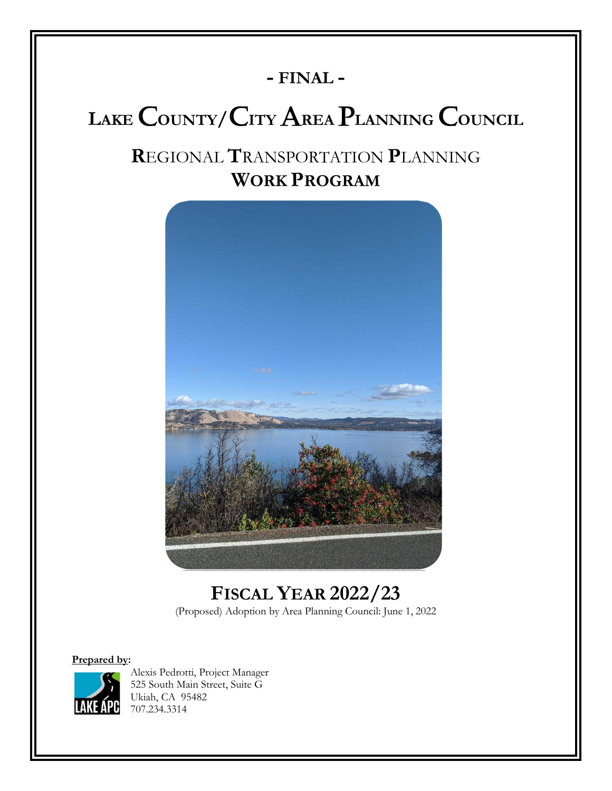# **- FINAL -**

# **<sup>L</sup>AKE** C**OUNTY/**C**ITY** A**REA** P**LANNING** C**OUNCIL**

# **R**EGIONAL **T**RANSPORTATION **P**LANNING **WORK PROGRAM**



**FISCAL YEAR 2022/23** (Proposed) Adoption by Area Planning Council: June 1, 2022

**Prepared by:**



Alexis Pedrotti, Project Manager 525 South Main Street, Suite G Ukiah, CA 95482 707.234.3314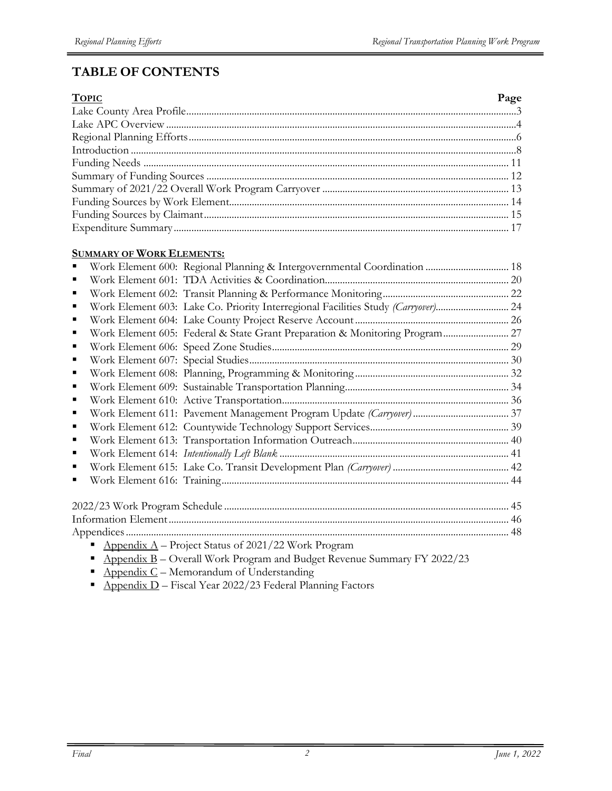# **TABLE OF CONTENTS**

| <b>TOPIC</b> | Page |
|--------------|------|
|              |      |
|              |      |
|              |      |
|              |      |
|              |      |
|              |      |
|              |      |
|              |      |
|              |      |
|              |      |

#### **SUMMARY OF WORK ELEMENTS:**

|   | Work Element 600: Regional Planning & Intergovernmental Coordination  18                                   |  |
|---|------------------------------------------------------------------------------------------------------------|--|
|   |                                                                                                            |  |
|   |                                                                                                            |  |
|   | Work Element 603: Lake Co. Priority Interregional Facilities Study (Carryover) 24                          |  |
| ٠ |                                                                                                            |  |
|   | Work Element 605: Federal & State Grant Preparation & Monitoring Program 27                                |  |
|   |                                                                                                            |  |
|   |                                                                                                            |  |
|   |                                                                                                            |  |
|   |                                                                                                            |  |
|   |                                                                                                            |  |
|   |                                                                                                            |  |
|   |                                                                                                            |  |
|   |                                                                                                            |  |
|   |                                                                                                            |  |
|   |                                                                                                            |  |
|   |                                                                                                            |  |
|   |                                                                                                            |  |
|   |                                                                                                            |  |
|   |                                                                                                            |  |
|   | Appendix $A$ – Project Status of 2021/22 Work Program                                                      |  |
|   | Appendix B - Overall Work Program and Budget Revenue Summary FY 2022/23                                    |  |
|   | $\Lambda$ and $\Lambda$ of $\Lambda$ and $\Lambda$ and $\Lambda$ and $\Lambda$ and $\Lambda$ and $\Lambda$ |  |

- **•** Appendix  $C$  Memorandum of Understanding
- $\overline{P}$  Appendix D Fiscal Year 2022/23 Federal Planning Factors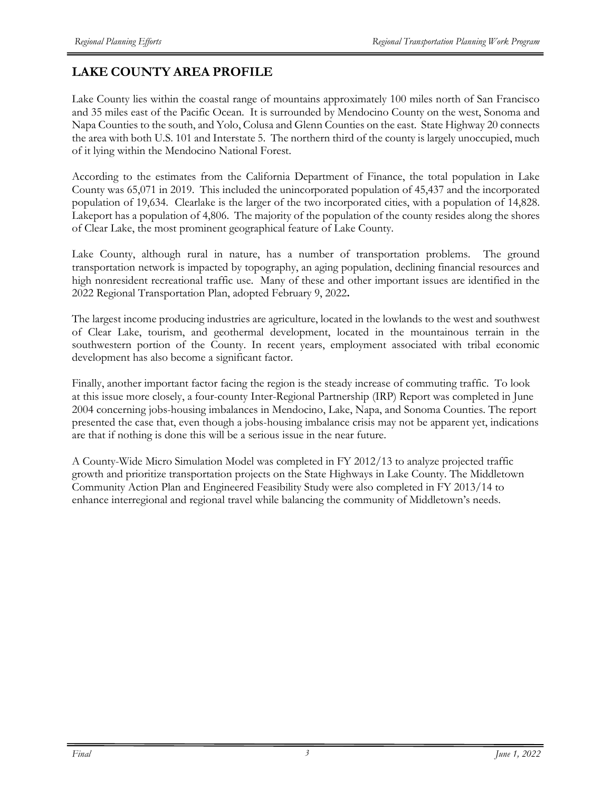# **LAKE COUNTY AREA PROFILE**

Lake County lies within the coastal range of mountains approximately 100 miles north of San Francisco and 35 miles east of the Pacific Ocean. It is surrounded by Mendocino County on the west, Sonoma and Napa Counties to the south, and Yolo, Colusa and Glenn Counties on the east. State Highway 20 connects the area with both U.S. 101 and Interstate 5. The northern third of the county is largely unoccupied, much of it lying within the Mendocino National Forest.

According to the estimates from the California Department of Finance, the total population in Lake County was 65,071 in 2019. This included the unincorporated population of 45,437 and the incorporated population of 19,634. Clearlake is the larger of the two incorporated cities, with a population of 14,828. Lakeport has a population of 4,806. The majority of the population of the county resides along the shores of Clear Lake, the most prominent geographical feature of Lake County.

Lake County, although rural in nature, has a number of transportation problems. The ground transportation network is impacted by topography, an aging population, declining financial resources and high nonresident recreational traffic use. Many of these and other important issues are identified in the 2022 Regional Transportation Plan, adopted February 9, 2022**.** 

The largest income producing industries are agriculture, located in the lowlands to the west and southwest of Clear Lake, tourism, and geothermal development, located in the mountainous terrain in the southwestern portion of the County. In recent years, employment associated with tribal economic development has also become a significant factor.

Finally, another important factor facing the region is the steady increase of commuting traffic. To look at this issue more closely, a four-county Inter-Regional Partnership (IRP) Report was completed in June 2004 concerning jobs-housing imbalances in Mendocino, Lake, Napa, and Sonoma Counties. The report presented the case that, even though a jobs-housing imbalance crisis may not be apparent yet, indications are that if nothing is done this will be a serious issue in the near future.

A County-Wide Micro Simulation Model was completed in FY 2012/13 to analyze projected traffic growth and prioritize transportation projects on the State Highways in Lake County. The Middletown Community Action Plan and Engineered Feasibility Study were also completed in FY 2013/14 to enhance interregional and regional travel while balancing the community of Middletown's needs.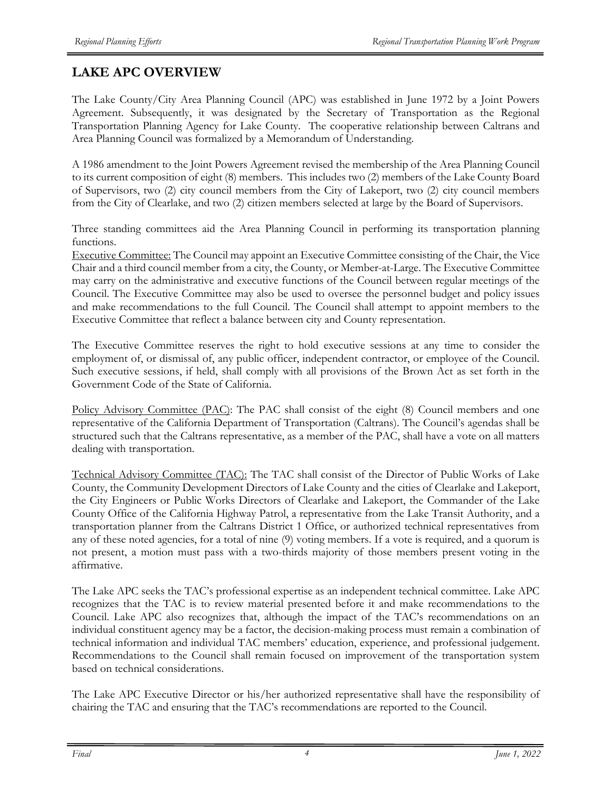# **LAKE APC OVERVIEW**

The Lake County/City Area Planning Council (APC) was established in June 1972 by a Joint Powers Agreement. Subsequently, it was designated by the Secretary of Transportation as the Regional Transportation Planning Agency for Lake County. The cooperative relationship between Caltrans and Area Planning Council was formalized by a Memorandum of Understanding.

A 1986 amendment to the Joint Powers Agreement revised the membership of the Area Planning Council to its current composition of eight (8) members. This includes two (2) members of the Lake County Board of Supervisors, two (2) city council members from the City of Lakeport, two (2) city council members from the City of Clearlake, and two (2) citizen members selected at large by the Board of Supervisors.

Three standing committees aid the Area Planning Council in performing its transportation planning functions.

Executive Committee: The Council may appoint an Executive Committee consisting of the Chair, the Vice Chair and a third council member from a city, the County, or Member-at-Large. The Executive Committee may carry on the administrative and executive functions of the Council between regular meetings of the Council. The Executive Committee may also be used to oversee the personnel budget and policy issues and make recommendations to the full Council. The Council shall attempt to appoint members to the Executive Committee that reflect a balance between city and County representation.

The Executive Committee reserves the right to hold executive sessions at any time to consider the employment of, or dismissal of, any public officer, independent contractor, or employee of the Council. Such executive sessions, if held, shall comply with all provisions of the Brown Act as set forth in the Government Code of the State of California.

Policy Advisory Committee (PAC): The PAC shall consist of the eight (8) Council members and one representative of the California Department of Transportation (Caltrans). The Council's agendas shall be structured such that the Caltrans representative, as a member of the PAC, shall have a vote on all matters dealing with transportation.

Technical Advisory Committee (TAC): The TAC shall consist of the Director of Public Works of Lake County, the Community Development Directors of Lake County and the cities of Clearlake and Lakeport, the City Engineers or Public Works Directors of Clearlake and Lakeport, the Commander of the Lake County Office of the California Highway Patrol, a representative from the Lake Transit Authority, and a transportation planner from the Caltrans District 1 Office, or authorized technical representatives from any of these noted agencies, for a total of nine (9) voting members. If a vote is required, and a quorum is not present, a motion must pass with a two-thirds majority of those members present voting in the affirmative.

The Lake APC seeks the TAC's professional expertise as an independent technical committee. Lake APC recognizes that the TAC is to review material presented before it and make recommendations to the Council. Lake APC also recognizes that, although the impact of the TAC's recommendations on an individual constituent agency may be a factor, the decision-making process must remain a combination of technical information and individual TAC members' education, experience, and professional judgement. Recommendations to the Council shall remain focused on improvement of the transportation system based on technical considerations.

The Lake APC Executive Director or his/her authorized representative shall have the responsibility of chairing the TAC and ensuring that the TAC's recommendations are reported to the Council.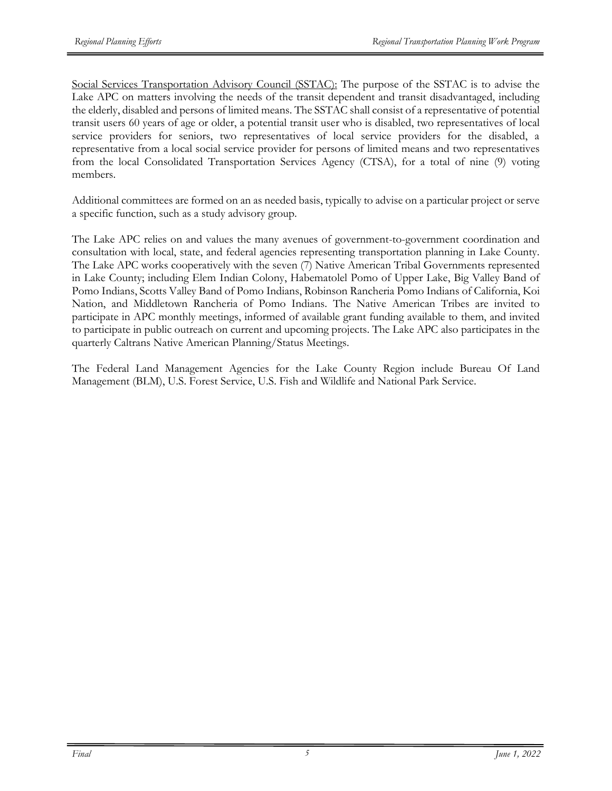Social Services Transportation Advisory Council (SSTAC): The purpose of the SSTAC is to advise the Lake APC on matters involving the needs of the transit dependent and transit disadvantaged, including the elderly, disabled and persons of limited means. The SSTAC shall consist of a representative of potential transit users 60 years of age or older, a potential transit user who is disabled, two representatives of local service providers for seniors, two representatives of local service providers for the disabled, a representative from a local social service provider for persons of limited means and two representatives from the local Consolidated Transportation Services Agency (CTSA), for a total of nine (9) voting members.

Additional committees are formed on an as needed basis, typically to advise on a particular project or serve a specific function, such as a study advisory group.

The Lake APC relies on and values the many avenues of government-to-government coordination and consultation with local, state, and federal agencies representing transportation planning in Lake County. The Lake APC works cooperatively with the seven (7) Native American Tribal Governments represented in Lake County; including Elem Indian Colony, Habematolel Pomo of Upper Lake, Big Valley Band of Pomo Indians, Scotts Valley Band of Pomo Indians, Robinson Rancheria Pomo Indians of California, Koi Nation, and Middletown Rancheria of Pomo Indians. The Native American Tribes are invited to participate in APC monthly meetings, informed of available grant funding available to them, and invited to participate in public outreach on current and upcoming projects. The Lake APC also participates in the quarterly Caltrans Native American Planning/Status Meetings.

The Federal Land Management Agencies for the Lake County Region include Bureau Of Land Management (BLM), U.S. Forest Service, U.S. Fish and Wildlife and National Park Service.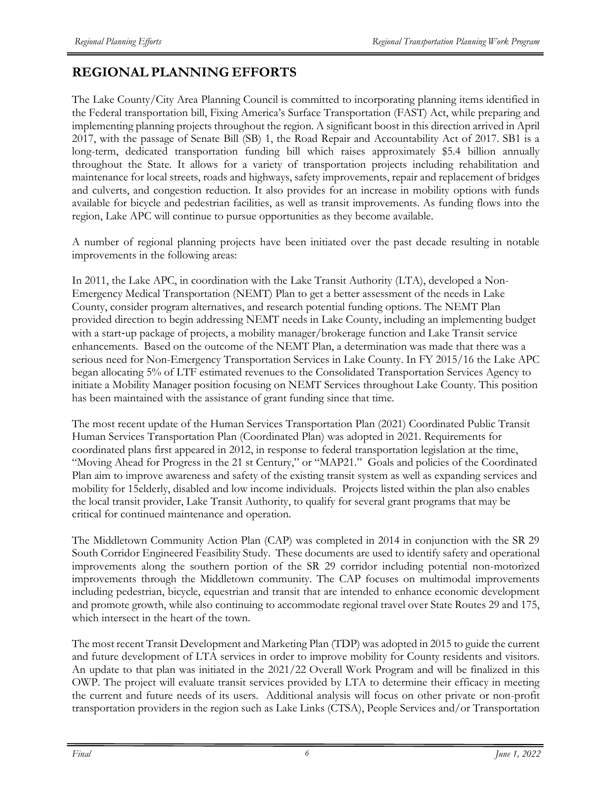# **REGIONAL PLANNING EFFORTS**

The Lake County/City Area Planning Council is committed to incorporating planning items identified in the Federal transportation bill, Fixing America's Surface Transportation (FAST) Act, while preparing and implementing planning projects throughout the region. A significant boost in this direction arrived in April 2017, with the passage of Senate Bill (SB) 1, the Road Repair and Accountability Act of 2017. SB1 is a long-term, dedicated transportation funding bill which raises approximately \$5.4 billion annually throughout the State. It allows for a variety of transportation projects including rehabilitation and maintenance for local streets, roads and highways, safety improvements, repair and replacement of bridges and culverts, and congestion reduction. It also provides for an increase in mobility options with funds available for bicycle and pedestrian facilities, as well as transit improvements. As funding flows into the region, Lake APC will continue to pursue opportunities as they become available.

A number of regional planning projects have been initiated over the past decade resulting in notable improvements in the following areas:

In 2011, the Lake APC, in coordination with the Lake Transit Authority (LTA), developed a Non-Emergency Medical Transportation (NEMT) Plan to get a better assessment of the needs in Lake County, consider program alternatives, and research potential funding options. The NEMT Plan provided direction to begin addressing NEMT needs in Lake County, including an implementing budget with a start-up package of projects, a mobility manager/brokerage function and Lake Transit service enhancements. Based on the outcome of the NEMT Plan, a determination was made that there was a serious need for Non-Emergency Transportation Services in Lake County. In FY 2015/16 the Lake APC began allocating 5% of LTF estimated revenues to the Consolidated Transportation Services Agency to initiate a Mobility Manager position focusing on NEMT Services throughout Lake County. This position has been maintained with the assistance of grant funding since that time.

The most recent update of the Human Services Transportation Plan (2021) Coordinated Public Transit Human Services Transportation Plan (Coordinated Plan) was adopted in 2021. Requirements for coordinated plans first appeared in 2012, in response to federal transportation legislation at the time, "Moving Ahead for Progress in the 21 st Century," or "MAP21." Goals and policies of the Coordinated Plan aim to improve awareness and safety of the existing transit system as well as expanding services and mobility for 15elderly, disabled and low income individuals. Projects listed within the plan also enables the local transit provider, Lake Transit Authority, to qualify for several grant programs that may be critical for continued maintenance and operation.

The Middletown Community Action Plan (CAP) was completed in 2014 in conjunction with the SR 29 South Corridor Engineered Feasibility Study. These documents are used to identify safety and operational improvements along the southern portion of the SR 29 corridor including potential non-motorized improvements through the Middletown community. The CAP focuses on multimodal improvements including pedestrian, bicycle, equestrian and transit that are intended to enhance economic development and promote growth, while also continuing to accommodate regional travel over State Routes 29 and 175, which intersect in the heart of the town.

The most recent Transit Development and Marketing Plan (TDP) was adopted in 2015 to guide the current and future development of LTA services in order to improve mobility for County residents and visitors. An update to that plan was initiated in the 2021/22 Overall Work Program and will be finalized in this OWP. The project will evaluate transit services provided by LTA to determine their efficacy in meeting the current and future needs of its users. Additional analysis will focus on other private or non-profit transportation providers in the region such as Lake Links (CTSA), People Services and/or Transportation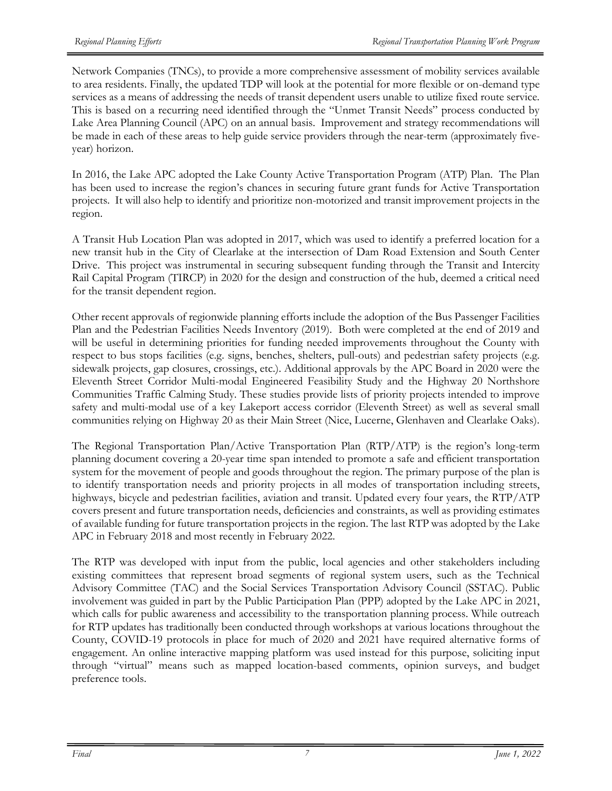Network Companies (TNCs), to provide a more comprehensive assessment of mobility services available to area residents. Finally, the updated TDP will look at the potential for more flexible or on-demand type services as a means of addressing the needs of transit dependent users unable to utilize fixed route service. This is based on a recurring need identified through the "Unmet Transit Needs" process conducted by Lake Area Planning Council (APC) on an annual basis. Improvement and strategy recommendations will be made in each of these areas to help guide service providers through the near-term (approximately fiveyear) horizon.

In 2016, the Lake APC adopted the Lake County Active Transportation Program (ATP) Plan. The Plan has been used to increase the region's chances in securing future grant funds for Active Transportation projects. It will also help to identify and prioritize non-motorized and transit improvement projects in the region.

A Transit Hub Location Plan was adopted in 2017, which was used to identify a preferred location for a new transit hub in the City of Clearlake at the intersection of Dam Road Extension and South Center Drive. This project was instrumental in securing subsequent funding through the Transit and Intercity Rail Capital Program (TIRCP) in 2020 for the design and construction of the hub, deemed a critical need for the transit dependent region.

Other recent approvals of regionwide planning efforts include the adoption of the Bus Passenger Facilities Plan and the Pedestrian Facilities Needs Inventory (2019). Both were completed at the end of 2019 and will be useful in determining priorities for funding needed improvements throughout the County with respect to bus stops facilities (e.g. signs, benches, shelters, pull-outs) and pedestrian safety projects (e.g. sidewalk projects, gap closures, crossings, etc.). Additional approvals by the APC Board in 2020 were the Eleventh Street Corridor Multi-modal Engineered Feasibility Study and the Highway 20 Northshore Communities Traffic Calming Study. These studies provide lists of priority projects intended to improve safety and multi-modal use of a key Lakeport access corridor (Eleventh Street) as well as several small communities relying on Highway 20 as their Main Street (Nice, Lucerne, Glenhaven and Clearlake Oaks).

The Regional Transportation Plan/Active Transportation Plan (RTP/ATP) is the region's long-term planning document covering a 20-year time span intended to promote a safe and efficient transportation system for the movement of people and goods throughout the region. The primary purpose of the plan is to identify transportation needs and priority projects in all modes of transportation including streets, highways, bicycle and pedestrian facilities, aviation and transit. Updated every four years, the RTP/ATP covers present and future transportation needs, deficiencies and constraints, as well as providing estimates of available funding for future transportation projects in the region. The last RTP was adopted by the Lake APC in February 2018 and most recently in February 2022.

The RTP was developed with input from the public, local agencies and other stakeholders including existing committees that represent broad segments of regional system users, such as the Technical Advisory Committee (TAC) and the Social Services Transportation Advisory Council (SSTAC). Public involvement was guided in part by the Public Participation Plan (PPP) adopted by the Lake APC in 2021, which calls for public awareness and accessibility to the transportation planning process. While outreach for RTP updates has traditionally been conducted through workshops at various locations throughout the County, COVID-19 protocols in place for much of 2020 and 2021 have required alternative forms of engagement. An online interactive mapping platform was used instead for this purpose, soliciting input through "virtual" means such as mapped location-based comments, opinion surveys, and budget preference tools.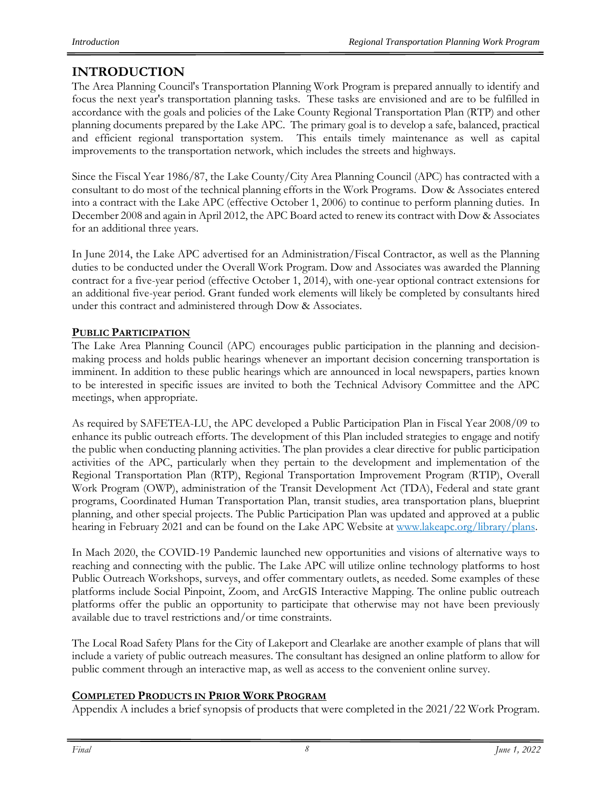# **INTRODUCTION**

The Area Planning Council's Transportation Planning Work Program is prepared annually to identify and focus the next year's transportation planning tasks. These tasks are envisioned and are to be fulfilled in accordance with the goals and policies of the Lake County Regional Transportation Plan (RTP) and other planning documents prepared by the Lake APC. The primary goal is to develop a safe, balanced, practical and efficient regional transportation system. This entails timely maintenance as well as capital improvements to the transportation network, which includes the streets and highways.

Since the Fiscal Year 1986/87, the Lake County/City Area Planning Council (APC) has contracted with a consultant to do most of the technical planning efforts in the Work Programs. Dow & Associates entered into a contract with the Lake APC (effective October 1, 2006) to continue to perform planning duties. In December 2008 and again in April 2012, the APC Board acted to renew its contract with Dow & Associates for an additional three years.

In June 2014, the Lake APC advertised for an Administration/Fiscal Contractor, as well as the Planning duties to be conducted under the Overall Work Program. Dow and Associates was awarded the Planning contract for a five-year period (effective October 1, 2014), with one-year optional contract extensions for an additional five-year period. Grant funded work elements will likely be completed by consultants hired under this contract and administered through Dow & Associates.

# **PUBLIC PARTICIPATION**

The Lake Area Planning Council (APC) encourages public participation in the planning and decisionmaking process and holds public hearings whenever an important decision concerning transportation is imminent. In addition to these public hearings which are announced in local newspapers, parties known to be interested in specific issues are invited to both the Technical Advisory Committee and the APC meetings, when appropriate.

As required by SAFETEA-LU, the APC developed a Public Participation Plan in Fiscal Year 2008/09 to enhance its public outreach efforts. The development of this Plan included strategies to engage and notify the public when conducting planning activities. The plan provides a clear directive for public participation activities of the APC, particularly when they pertain to the development and implementation of the Regional Transportation Plan (RTP), Regional Transportation Improvement Program (RTIP), Overall Work Program (OWP), administration of the Transit Development Act (TDA), Federal and state grant programs, Coordinated Human Transportation Plan, transit studies, area transportation plans, blueprint planning, and other special projects. The Public Participation Plan was updated and approved at a public hearing in February 2021 and can be found on the Lake APC Website at www.lakeapc.org/library/plans.

In Mach 2020, the COVID-19 Pandemic launched new opportunities and visions of alternative ways to reaching and connecting with the public. The Lake APC will utilize online technology platforms to host Public Outreach Workshops, surveys, and offer commentary outlets, as needed. Some examples of these platforms include Social Pinpoint, Zoom, and ArcGIS Interactive Mapping. The online public outreach platforms offer the public an opportunity to participate that otherwise may not have been previously available due to travel restrictions and/or time constraints.

The Local Road Safety Plans for the City of Lakeport and Clearlake are another example of plans that will include a variety of public outreach measures. The consultant has designed an online platform to allow for public comment through an interactive map, as well as access to the convenient online survey.

# **COMPLETED PRODUCTS IN PRIOR WORK PROGRAM**

Appendix A includes a brief synopsis of products that were completed in the 2021/22 Work Program.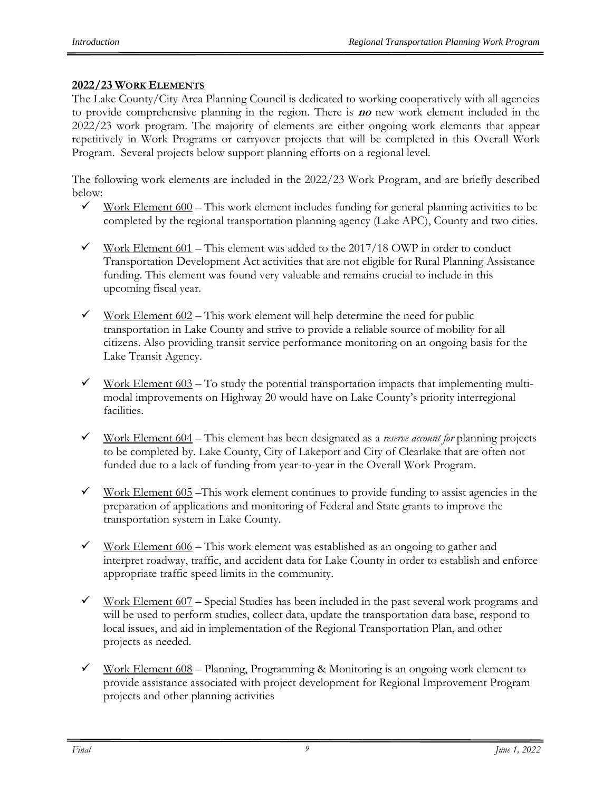# **2022/23 WORK ELEMENTS**

The Lake County/City Area Planning Council is dedicated to working cooperatively with all agencies to provide comprehensive planning in the region. There is **no** new work element included in the 2022/23 work program. The majority of elements are either ongoing work elements that appear repetitively in Work Programs or carryover projects that will be completed in this Overall Work Program. Several projects below support planning efforts on a regional level.

The following work elements are included in the 2022/23 Work Program, and are briefly described below:

- $\checkmark$  Work Element 600 This work element includes funding for general planning activities to be completed by the regional transportation planning agency (Lake APC), County and two cities.
- $\checkmark$  Work Element 601 This element was added to the 2017/18 OWP in order to conduct Transportation Development Act activities that are not eligible for Rural Planning Assistance funding. This element was found very valuable and remains crucial to include in this upcoming fiscal year.
- $\checkmark$  Work Element 602 This work element will help determine the need for public transportation in Lake County and strive to provide a reliable source of mobility for all citizens. Also providing transit service performance monitoring on an ongoing basis for the Lake Transit Agency.
- $\checkmark$  Work Element 603 To study the potential transportation impacts that implementing multimodal improvements on Highway 20 would have on Lake County's priority interregional facilities.
- ✓ Work Element 604 This element has been designated as a *reserve account for* planning projects to be completed by. Lake County, City of Lakeport and City of Clearlake that are often not funded due to a lack of funding from year-to-year in the Overall Work Program.
- $\checkmark$  Work Element 605 This work element continues to provide funding to assist agencies in the preparation of applications and monitoring of Federal and State grants to improve the transportation system in Lake County.
- $\checkmark$  Work Element 606 This work element was established as an ongoing to gather and interpret roadway, traffic, and accident data for Lake County in order to establish and enforce appropriate traffic speed limits in the community.
- $\checkmark$  Work Element 607 Special Studies has been included in the past several work programs and will be used to perform studies, collect data, update the transportation data base, respond to local issues, and aid in implementation of the Regional Transportation Plan, and other projects as needed.
- $\checkmark$  Work Element 608 Planning, Programming & Monitoring is an ongoing work element to provide assistance associated with project development for Regional Improvement Program projects and other planning activities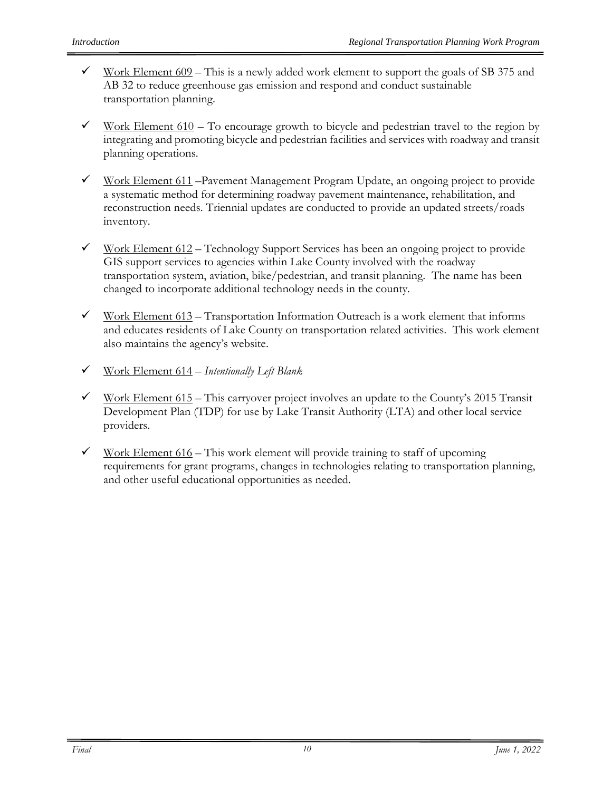- $\checkmark$  Work Element 609 This is a newly added work element to support the goals of SB 375 and AB 32 to reduce greenhouse gas emission and respond and conduct sustainable transportation planning.
- $\checkmark$  Work Element 610 To encourage growth to bicycle and pedestrian travel to the region by integrating and promoting bicycle and pedestrian facilities and services with roadway and transit planning operations.
- $\checkmark$  Work Element 611 Pavement Management Program Update, an ongoing project to provide a systematic method for determining roadway pavement maintenance, rehabilitation, and reconstruction needs. Triennial updates are conducted to provide an updated streets/roads inventory.
- $\checkmark$  Work Element 612 Technology Support Services has been an ongoing project to provide GIS support services to agencies within Lake County involved with the roadway transportation system, aviation, bike/pedestrian, and transit planning. The name has been changed to incorporate additional technology needs in the county.
- $\checkmark$  Work Element 613 Transportation Information Outreach is a work element that informs and educates residents of Lake County on transportation related activities. This work element also maintains the agency's website.
- ✓ Work Element 614 *Intentionally Left Blank*
- $\checkmark$  Work Element 615 This carryover project involves an update to the County's 2015 Transit Development Plan (TDP) for use by Lake Transit Authority (LTA) and other local service providers.
- $\checkmark$  Work Element 616 This work element will provide training to staff of upcoming requirements for grant programs, changes in technologies relating to transportation planning, and other useful educational opportunities as needed.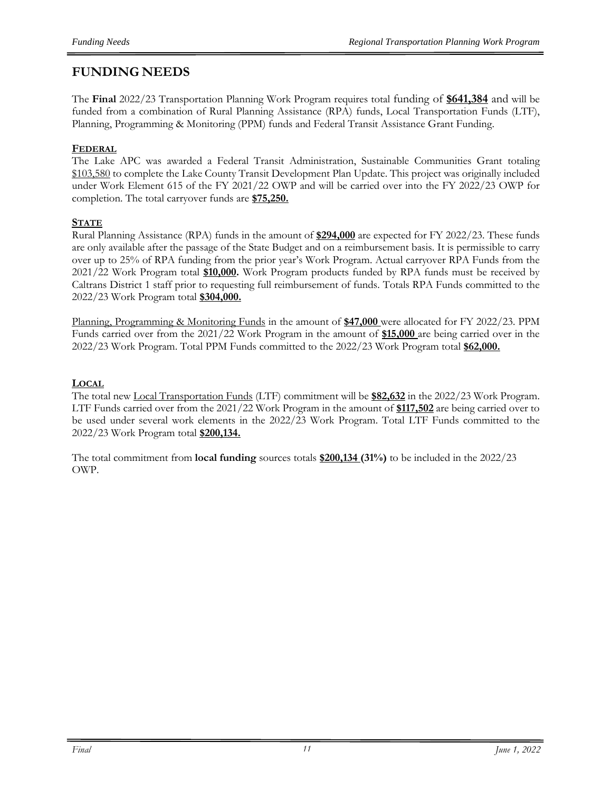# **FUNDING NEEDS**

The **Final** 2022/23 Transportation Planning Work Program requires total funding of **\$641,384** and will be funded from a combination of Rural Planning Assistance (RPA) funds, Local Transportation Funds (LTF), Planning, Programming & Monitoring (PPM) funds and Federal Transit Assistance Grant Funding.

### **FEDERAL**

The Lake APC was awarded a Federal Transit Administration, Sustainable Communities Grant totaling \$103,580 to complete the Lake County Transit Development Plan Update. This project was originally included under Work Element 615 of the FY 2021/22 OWP and will be carried over into the FY 2022/23 OWP for completion. The total carryover funds are **\$75,250.**

#### **STATE**

Rural Planning Assistance (RPA) funds in the amount of **\$294,000** are expected for FY 2022/23. These funds are only available after the passage of the State Budget and on a reimbursement basis. It is permissible to carry over up to 25% of RPA funding from the prior year's Work Program. Actual carryover RPA Funds from the 2021/22 Work Program total **\$10,000.** Work Program products funded by RPA funds must be received by Caltrans District 1 staff prior to requesting full reimbursement of funds. Totals RPA Funds committed to the 2022/23 Work Program total **\$304,000.**

Planning, Programming & Monitoring Funds in the amount of **\$47,000** were allocated for FY 2022/23. PPM Funds carried over from the 2021/22 Work Program in the amount of **\$15,000** are being carried over in the 2022/23 Work Program. Total PPM Funds committed to the 2022/23 Work Program total **\$62,000.**

#### **LOCAL**

The total new Local Transportation Funds (LTF) commitment will be **\$82,632** in the 2022/23 Work Program. LTF Funds carried over from the 2021/22 Work Program in the amount of **\$117,502** are being carried over to be used under several work elements in the 2022/23 Work Program. Total LTF Funds committed to the 2022/23 Work Program total **\$200,134.**

The total commitment from **local funding** sources totals **\$200,134 (31%)** to be included in the 2022/23 OWP.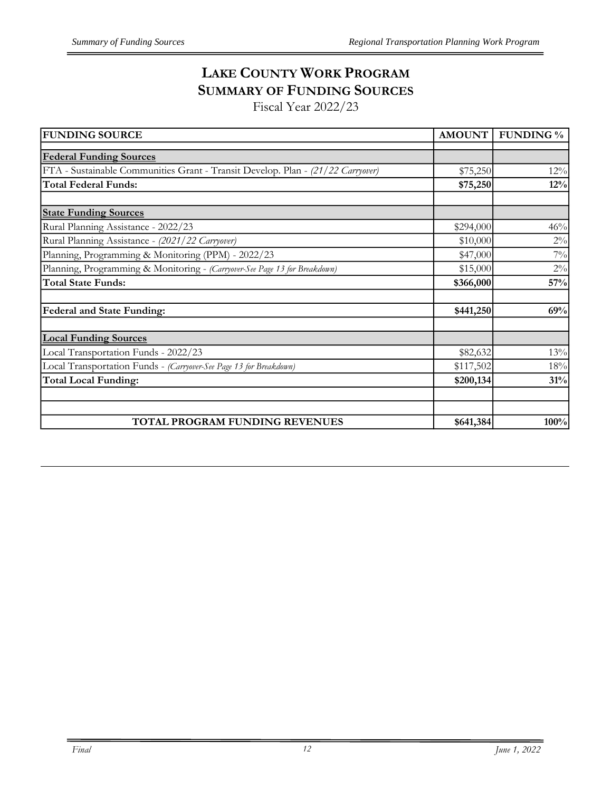# **LAKE COUNTY WORK PROGRAM SUMMARY OF FUNDING SOURCES**

Fiscal Year 2022/23

| <b>FUNDING SOURCE</b>                                                           | AMOUNT    | <b>FUNDING %</b> |
|---------------------------------------------------------------------------------|-----------|------------------|
| <b>Federal Funding Sources</b>                                                  |           |                  |
| FTA - Sustainable Communities Grant - Transit Develop. Plan - (21/22 Carryover) | \$75,250  | 12%              |
| <b>Total Federal Funds:</b>                                                     | \$75,250  | 12%              |
| <b>State Funding Sources</b>                                                    |           |                  |
| Rural Planning Assistance - 2022/23                                             | \$294,000 | 46%              |
| Rural Planning Assistance - (2021/22 Carryover)                                 | \$10,000  | $2\%$            |
| Planning, Programming & Monitoring (PPM) - 2022/23                              | \$47,000  | $7\%$            |
| Planning, Programming & Monitoring - (Carryover-See Page 13 for Breakdown)      | \$15,000  | $2\%$            |
| <b>Total State Funds:</b>                                                       | \$366,000 | 57%              |
| <b>Federal and State Funding:</b>                                               | \$441,250 | 69%              |
| <b>Local Funding Sources</b>                                                    |           |                  |
| Local Transportation Funds - 2022/23                                            | \$82,632  | 13%              |
| Local Transportation Funds - (Carryover-See Page 13 for Breakdown)              | \$117,502 | 18%              |
| <b>Total Local Funding:</b>                                                     | \$200,134 | 31%              |
|                                                                                 |           |                  |
| TOTAL PROGRAM FUNDING REVENUES                                                  | \$641,384 | 100%             |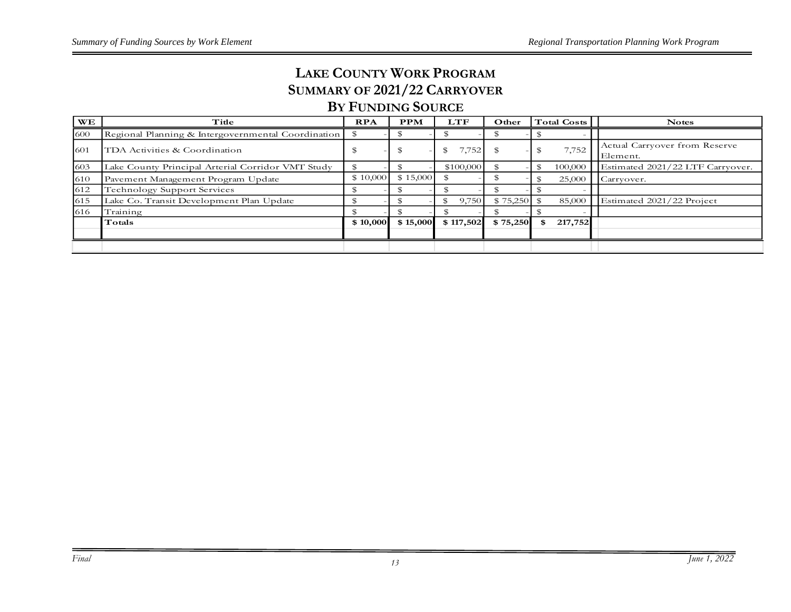# **LAKE COUNTY WORK PROGRAM SUMMARY OF 2021/22 CARRYOVER**

# **BY FUNDING SOURCE**

| <b>WE</b> | Title                                              | <b>RPA</b> | <b>PPM</b> | <b>LTF</b>  | Other    | Total Costs   | <b>Notes</b>                              |
|-----------|----------------------------------------------------|------------|------------|-------------|----------|---------------|-------------------------------------------|
| 600       | Regional Planning & Intergovernmental Coordination |            |            |             |          |               |                                           |
| 1601      | TDA Activities & Coordination                      |            | J.         | .752<br>ъ   |          | 7,752         | Actual Carryover from Reserve<br>Element. |
| 603       | Lake County Principal Arterial Corridor VMT Study  |            |            | \$100,000   |          | 100,000       | Estimated 2021/22 LTF Carryover.          |
| 610       | Pavement Management Program Update                 | \$10,000   | \$15,000   |             |          | 25,000        | Carryover.                                |
| 612       | <b>Technology Support Services</b>                 |            |            |             |          |               |                                           |
| 615       | Lake Co. Transit Development Plan Update           |            |            | 9,750<br>Ж, | \$75,250 | 85,000        | Estimated 2021/22 Project                 |
| 616       | Training                                           |            |            |             |          |               |                                           |
|           | Totals                                             | \$10,000   | \$15,000   | \$117,502   | \$75,250 | \$<br>217,752 |                                           |
|           |                                                    |            |            |             |          |               |                                           |
|           |                                                    |            |            |             |          |               |                                           |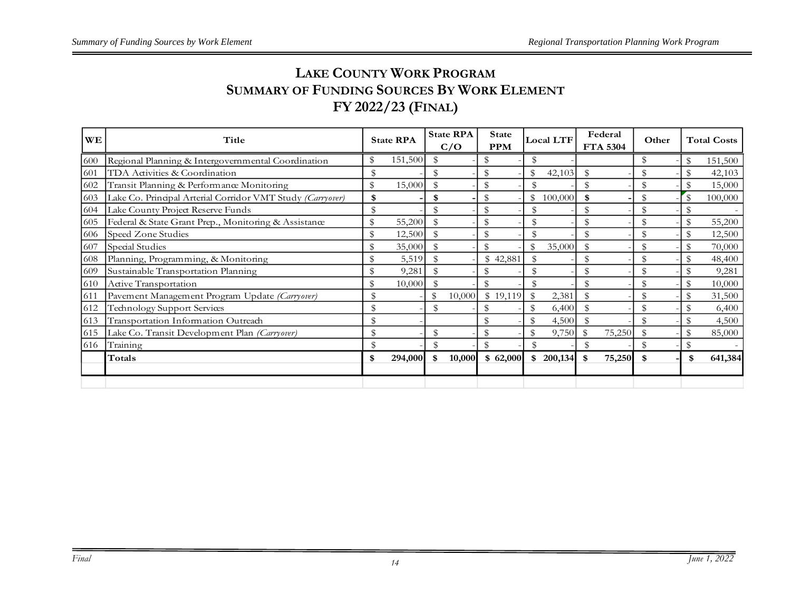# **LAKE COUNTY WORK PROGRAM SUMMARY OF FUNDING SOURCES BY WORK ELEMENT FY 2022/23 (FINAL)**

| <b>WE</b> | Title                                                      |               | <b>State RPA</b> |               |        |          |               |         |             |        |               |               |         |  |  |  |  |  |  |  |  |  |  |  |  |  |  |  |  |  |  |  |  |  |  |  |  |  | <b>State RPA</b><br>C/O | State<br><b>PPM</b> |  | Local LTF |  | Federal<br><b>FTA 5304</b> | Other |  | <b>Total Costs</b> |
|-----------|------------------------------------------------------------|---------------|------------------|---------------|--------|----------|---------------|---------|-------------|--------|---------------|---------------|---------|--|--|--|--|--|--|--|--|--|--|--|--|--|--|--|--|--|--|--|--|--|--|--|--|--|-------------------------|---------------------|--|-----------|--|----------------------------|-------|--|--------------------|
| 600       | Regional Planning & Intergovernmental Coordination         | \$            | 151,500          | $\mathcal{F}$ |        |          | \$            |         |             |        | \$            | \$            | 151,500 |  |  |  |  |  |  |  |  |  |  |  |  |  |  |  |  |  |  |  |  |  |  |  |  |  |                         |                     |  |           |  |                            |       |  |                    |
| 601       | TDA Activities & Coordination                              | $\mathcal{S}$ |                  | \$            |        | \$       | \$            | 42,103  | \$          |        | $\mathcal{S}$ |               | 42,103  |  |  |  |  |  |  |  |  |  |  |  |  |  |  |  |  |  |  |  |  |  |  |  |  |  |                         |                     |  |           |  |                            |       |  |                    |
| 602       | Transit Planning & Performance Monitoring                  | \$            | 15,000           | \$            |        | \$       | \$            |         | \$          |        | $\mathbb{S}$  | $\mathcal{S}$ | 15,000  |  |  |  |  |  |  |  |  |  |  |  |  |  |  |  |  |  |  |  |  |  |  |  |  |  |                         |                     |  |           |  |                            |       |  |                    |
| 603       | Lake Co. Principal Arterial Corridor VMT Study (Carryover) | \$            |                  | \$            |        | \$       | \$            | 100,000 | \$          |        | \$            | $\mathcal{S}$ | 100,000 |  |  |  |  |  |  |  |  |  |  |  |  |  |  |  |  |  |  |  |  |  |  |  |  |  |                         |                     |  |           |  |                            |       |  |                    |
| 604       | Lake County Project Reserve Funds                          |               |                  |               |        |          | \$            |         |             |        | \$            |               |         |  |  |  |  |  |  |  |  |  |  |  |  |  |  |  |  |  |  |  |  |  |  |  |  |  |                         |                     |  |           |  |                            |       |  |                    |
| 605       | Federal & State Grant Prep., Monitoring & Assistance       | \$            | 55,200           |               |        |          | \$            |         |             |        | \$            |               | 55,200  |  |  |  |  |  |  |  |  |  |  |  |  |  |  |  |  |  |  |  |  |  |  |  |  |  |                         |                     |  |           |  |                            |       |  |                    |
| 606       | Speed Zone Studies                                         | \$            | 12,500           | $\mathcal{S}$ |        |          | \$            |         |             |        | \$            | $\mathbf S$   | 12,500  |  |  |  |  |  |  |  |  |  |  |  |  |  |  |  |  |  |  |  |  |  |  |  |  |  |                         |                     |  |           |  |                            |       |  |                    |
| 607       | Special Studies                                            | \$            | 35,000           | $\mathcal{S}$ |        | \$       | \$            | 35,000  | \$          |        | \$            | $\mathcal{S}$ | 70,000  |  |  |  |  |  |  |  |  |  |  |  |  |  |  |  |  |  |  |  |  |  |  |  |  |  |                         |                     |  |           |  |                            |       |  |                    |
| 608       | Planning, Programming, & Monitoring                        | \$            | 5,519            |               |        | \$42,881 | \$            |         |             |        |               |               | 48,400  |  |  |  |  |  |  |  |  |  |  |  |  |  |  |  |  |  |  |  |  |  |  |  |  |  |                         |                     |  |           |  |                            |       |  |                    |
| 609       | Sustainable Transportation Planning                        | \$            | 9,281            |               |        |          |               |         |             |        |               |               | 9,281   |  |  |  |  |  |  |  |  |  |  |  |  |  |  |  |  |  |  |  |  |  |  |  |  |  |                         |                     |  |           |  |                            |       |  |                    |
| 610       | Active Transportation                                      |               | 10,000           |               |        |          |               |         |             |        |               |               | 10,000  |  |  |  |  |  |  |  |  |  |  |  |  |  |  |  |  |  |  |  |  |  |  |  |  |  |                         |                     |  |           |  |                            |       |  |                    |
| 611       | Pavement Management Program Update (Carryover)             | \$            |                  | \$            | 10,000 | \$19,119 | $\mathbb{S}$  | 2,381   | \$          |        | \$            |               | 31,500  |  |  |  |  |  |  |  |  |  |  |  |  |  |  |  |  |  |  |  |  |  |  |  |  |  |                         |                     |  |           |  |                            |       |  |                    |
| 612       | Technology Support Services                                |               |                  | \$            |        |          | \$            | 6,400   |             |        |               |               | 6,400   |  |  |  |  |  |  |  |  |  |  |  |  |  |  |  |  |  |  |  |  |  |  |  |  |  |                         |                     |  |           |  |                            |       |  |                    |
| 613       | Transportation Information Outreach                        |               |                  |               |        |          |               | 4,500   |             |        |               |               | 4,500   |  |  |  |  |  |  |  |  |  |  |  |  |  |  |  |  |  |  |  |  |  |  |  |  |  |                         |                     |  |           |  |                            |       |  |                    |
| 615       | Lake Co. Transit Development Plan (Carryover)              |               |                  | \$            |        |          | \$            | 9,750   | $\mathbb S$ | 75,250 |               |               | 85,000  |  |  |  |  |  |  |  |  |  |  |  |  |  |  |  |  |  |  |  |  |  |  |  |  |  |                         |                     |  |           |  |                            |       |  |                    |
| 616       | Training                                                   | \$            |                  | $\mathbb S$   |        |          | $\mathcal{L}$ |         |             |        | $\mathbb S$   | $\mathbf S$   |         |  |  |  |  |  |  |  |  |  |  |  |  |  |  |  |  |  |  |  |  |  |  |  |  |  |                         |                     |  |           |  |                            |       |  |                    |
|           | Totals                                                     | \$            | 294,000          | \$            | 10,000 | \$62,000 | \$            | 200,134 | \$          | 75,250 | -\$           | \$            | 641,384 |  |  |  |  |  |  |  |  |  |  |  |  |  |  |  |  |  |  |  |  |  |  |  |  |  |                         |                     |  |           |  |                            |       |  |                    |
|           |                                                            |               |                  |               |        |          |               |         |             |        |               |               |         |  |  |  |  |  |  |  |  |  |  |  |  |  |  |  |  |  |  |  |  |  |  |  |  |  |                         |                     |  |           |  |                            |       |  |                    |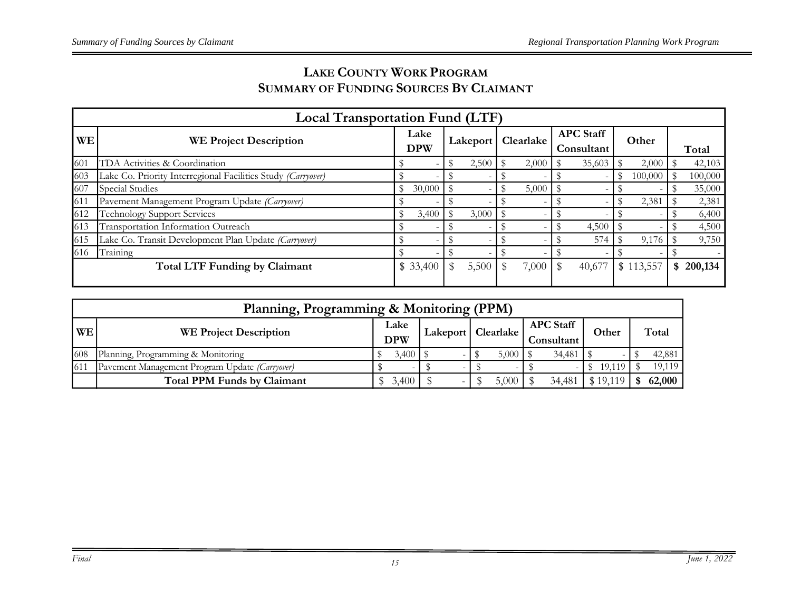# **LAKE COUNTY WORK PROGRAM SUMMARY OF FUNDING SOURCES BY CLAIMANT**

|           | <b>Local Transportation Fund (LTF)</b>                       |                    |          |          |       |           |       |                                |        |               |           |               |
|-----------|--------------------------------------------------------------|--------------------|----------|----------|-------|-----------|-------|--------------------------------|--------|---------------|-----------|---------------|
| <b>WE</b> | <b>WE Project Description</b>                                | Lake<br><b>DPW</b> |          | Lakeport |       | Clearlake |       | <b>APC Staff</b><br>Consultant |        | Other         |           | Total         |
| 601       | TDA Activities & Coordination                                |                    |          |          | 2,500 |           | 2,000 |                                | 35,603 |               | 2,000     | 42,103        |
| 603       | Lake Co. Priority Interregional Facilities Study (Carryover) |                    |          |          |       |           |       |                                |        | $\mathbf{\$}$ | 100,000   | 100,000       |
| 607       | <b>Special Studies</b>                                       |                    | 30,000   |          |       |           | 5,000 |                                |        |               | -         | 35,000        |
| 611       | Pavement Management Program Update (Carryover)               |                    |          |          |       |           |       |                                |        |               | 2,381     | 2,381         |
| 612       | <b>Technology Support Services</b>                           |                    | 3,400    | - \$     | 3,000 |           |       |                                |        |               |           | 6,400         |
| 613       | Transportation Information Outreach                          |                    |          |          |       |           |       |                                | 4,500  |               |           | 4,500         |
| 615       | Lake Co. Transit Development Plan Update (Carryover)         |                    |          |          |       |           |       |                                | 574    |               | 9,176     | 9,750         |
| 616       | Training                                                     |                    |          |          |       |           |       |                                |        |               |           |               |
|           | <b>Total LTF Funding by Claimant</b>                         |                    | \$33,400 |          | 5,500 |           | 7,000 |                                | 40,677 |               | \$113,557 | \$<br>200,134 |

|     | Planning, Programming & Monitoring (PPM)       |                    |       |  |  |                      |       |                                |        |          |  |        |
|-----|------------------------------------------------|--------------------|-------|--|--|----------------------|-------|--------------------------------|--------|----------|--|--------|
| WE  | <b>WE Project Description</b>                  | Lake<br><b>DPW</b> |       |  |  | Lakeport   Clearlake |       | <b>APC</b> Staff<br>Consultant |        | Other    |  | Total  |
|     |                                                |                    |       |  |  |                      |       |                                |        |          |  |        |
| 608 | Planning, Programming & Monitoring             |                    | 3,400 |  |  |                      | 5,000 |                                | 34,481 |          |  | 42,881 |
| 611 | Pavement Management Program Update (Carryover) |                    |       |  |  |                      |       |                                |        | 19,119   |  | 19,119 |
|     | <b>Total PPM Funds by Claimant</b>             |                    | 3,400 |  |  |                      | 5,000 |                                | 34,481 | : 19 119 |  | 62,000 |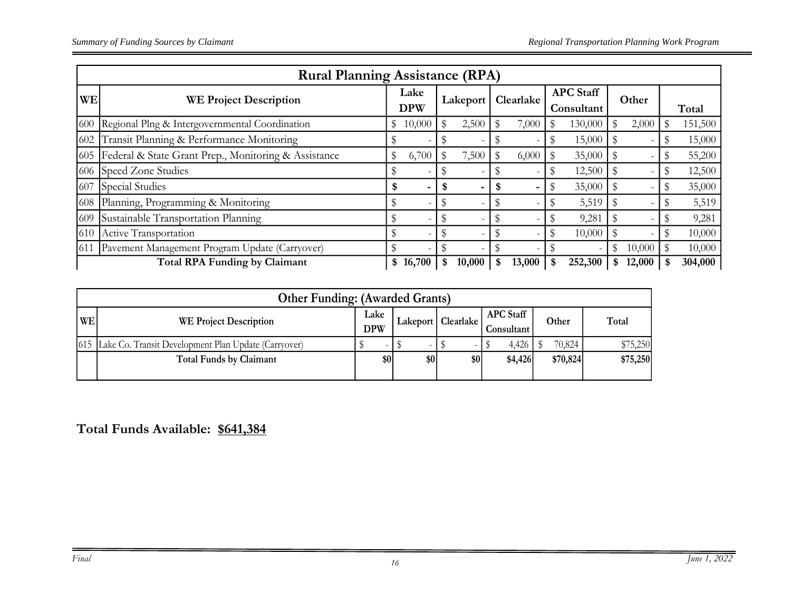| <b>Rural Planning Assistance (RPA)</b> |                                                      |    |                    |      |          |    |                          |                                |         |       |        |             |         |
|----------------------------------------|------------------------------------------------------|----|--------------------|------|----------|----|--------------------------|--------------------------------|---------|-------|--------|-------------|---------|
| WE                                     | <b>WE Project Description</b>                        |    | Lake<br><b>DPW</b> |      | Lakeport |    | Clearlake                | <b>APC</b> Staff<br>Consultant |         | Other |        |             | Total   |
| 600                                    | Regional Plng & Intergovernmental Coordination       |    | 10,000             | \$   | 2,500    |    | 7,000                    | S                              | 130,000 |       | 2,000  |             | 151,500 |
| 602                                    | Transit Planning & Performance Monitoring            |    |                    |      |          |    |                          |                                | 15,000  |       |        |             | 15,000  |
| 605                                    | Federal & State Grant Prep., Monitoring & Assistance |    | 6,700              | \$   | 7,500    |    | 6,000                    |                                | 35,000  |       |        |             | 55,200  |
|                                        | 606 Speed Zone Studies                               |    |                    |      |          |    |                          |                                | 12,500  |       |        |             | 12,500  |
| 607                                    | Special Studies                                      |    |                    | - \$ | -        | \$ | $\overline{\phantom{0}}$ |                                | 35,000  |       |        |             | 35,000  |
| 608                                    | Planning, Programming & Monitoring                   |    |                    | \$   |          |    |                          |                                | 5,519   |       |        |             | 5,519   |
| 609                                    | Sustainable Transportation Planning                  |    |                    | \$   |          |    |                          |                                | 9,281   |       |        |             | 9,281   |
| 610                                    | Active Transportation                                |    |                    | \$   |          |    |                          | S                              | 10,000  |       |        |             | 10,000  |
| 611                                    | Pavement Management Program Update (Carryover)       |    |                    |      |          |    |                          |                                |         |       | 10,000 | $\mathbf S$ | 10,000  |
|                                        | <b>Total RPA Funding by Claimant</b>                 | \$ | 16,700             | \$   | 10,000   | \$ | 13,000                   | \$                             | 252,300 |       | 12,000 |             | 304,000 |

|    | <b>Other Funding: (Awarded Grants)</b>                     |                    |     |                      |                                |          |          |  |  |  |  |  |
|----|------------------------------------------------------------|--------------------|-----|----------------------|--------------------------------|----------|----------|--|--|--|--|--|
| WE | <b>WE Project Description</b>                              | Lake<br><b>DPW</b> |     | Lakeport   Clearlake | <b>APC Staff</b><br>Consultant | Other    | Total    |  |  |  |  |  |
|    | [615] Lake Co. Transit Development Plan Update (Carryover) |                    |     |                      | 4,426                          | 70,824   | \$75,250 |  |  |  |  |  |
|    | <b>Total Funds by Claimant</b>                             | \$0                | \$0 | \$0                  | \$4,426                        | \$70,824 | \$75,250 |  |  |  |  |  |

**Total Funds Available: \$641,384**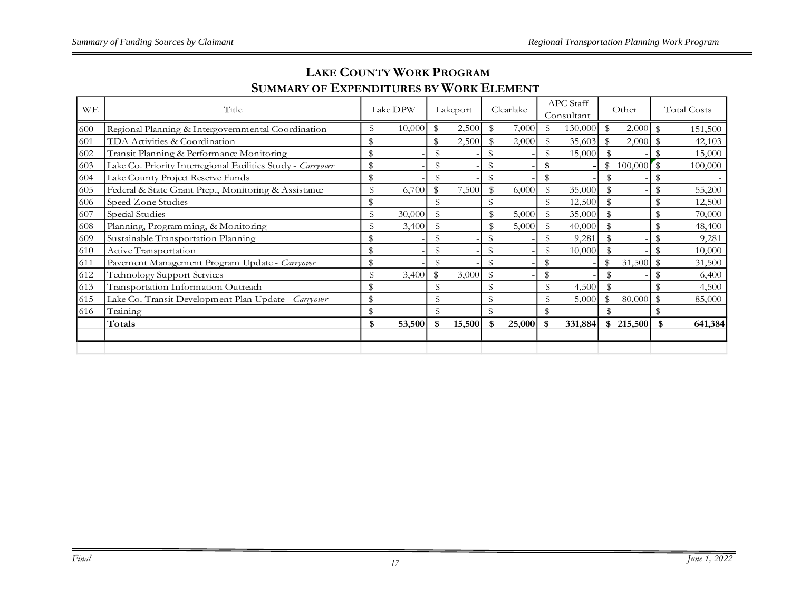| WE  | Title                                                        | Lake DPW |        |                | Lakeport | Clearlake    |                | <b>APC</b> Staff<br>Consultant |               | Other     |                | <b>Total Costs</b> |
|-----|--------------------------------------------------------------|----------|--------|----------------|----------|--------------|----------------|--------------------------------|---------------|-----------|----------------|--------------------|
| 600 | Regional Planning & Intergovernmental Coordination           | \$       | 10,000 | \$             | 2,500    | 7,000        | \$             | 130,000                        | $\mathbb{S}$  | 2,000     | $\mathcal{F}$  | 151,500            |
| 601 | TDA Activities & Coordination                                |          |        |                | 2,500    | 2,000        | \$             | 35,603                         | \$            | 2,000     | $^{\circ}$     | 42,103             |
| 602 | Transit Planning & Performance Monitoring                    | \$       |        |                |          |              | \$             | 15,000                         |               |           | \$             | 15,000             |
| 603 | Lake Co. Priority Interregional Facilities Study - Carryover | \$       |        |                |          |              | \$             |                                |               | \$100,000 | $\sqrt{3}$     | 100,000            |
| 604 | Lake County Project Reserve Funds                            | \$       |        |                |          |              | \$             |                                |               |           | \$             |                    |
| 605 | Federal & State Grant Prep., Monitoring & Assistance         | \$       | 6,700  | $\mathfrak{B}$ | 7,500    | 6,000        | \$             | 35,000                         |               |           | \$             | 55,200             |
| 606 | Speed Zone Studies                                           | \$       |        | \$             |          |              | \$             | 12,500                         | $\mathbf{\$}$ |           | $\mathbf{\$}$  | 12,500             |
| 607 | Special Studies                                              |          | 30,000 |                |          | 5,000        |                | 35,000                         |               |           | $\mathcal{S}$  | 70,000             |
| 608 | Planning, Programming, & Monitoring                          | \$       | 3,400  |                |          | 5,000        |                | 40,000                         |               |           | $\mathbf{\$}$  | 48,400             |
| 609 | Sustainable Transportation Planning                          |          |        |                |          |              | \$             | 9,281                          |               |           | $\mathfrak{B}$ | 9,281              |
| 610 | Active Transportation                                        | \$       |        | $\mathcal{S}$  |          |              | \$             | 10,000                         |               |           | $\mathcal{S}$  | 10,000             |
| 611 | Pavement Management Program Update - Carryover               | \$       |        | \$             |          |              | \$             |                                | \$            | 31,500    | $\mathfrak{B}$ | 31,500             |
| 612 | Technology Support Services                                  | \$       | 3,400  | \$             | 3,000    |              | \$             |                                |               |           |                | 6,400              |
| 613 | Transportation Information Outreach                          | \$       |        |                |          |              | $\mathfrak{B}$ | 4,500                          |               |           |                | 4,500              |
| 615 | Lake Co. Transit Development Plan Update - Carryover         | \$       |        |                |          |              | \$             | 5,000                          | \$            | 80,000    | $\mathbb S$    | 85,000             |
| 616 | Training                                                     | \$       |        | $\mathcal{S}$  |          |              | \$             |                                |               |           | \$             |                    |
|     | Totals                                                       | \$       | 53,500 | \$             | 15,500   | \$<br>25,000 | \$             | 331,884                        |               | \$215,500 | \$             | 641,384            |
|     |                                                              |          |        |                |          |              |                |                                |               |           |                |                    |
|     |                                                              |          |        |                |          |              |                |                                |               |           |                |                    |

# **LAKE COUNTY WORK PROGRAM SUMMARY OF EXPENDITURES BY WORK ELEMENT**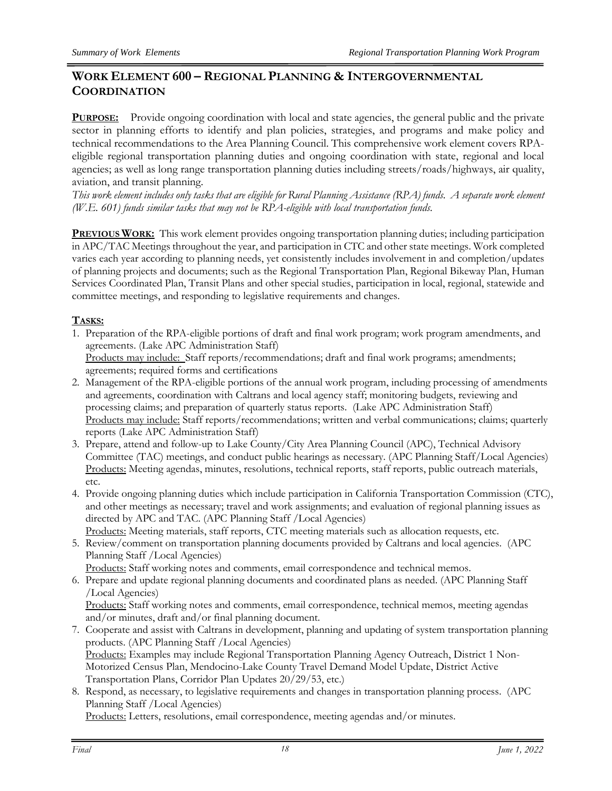# **WORK ELEMENT 600 – REGIONAL PLANNING & INTERGOVERNMENTAL COORDINATION**

**PURPOSE:** Provide ongoing coordination with local and state agencies, the general public and the private sector in planning efforts to identify and plan policies, strategies, and programs and make policy and technical recommendations to the Area Planning Council. This comprehensive work element covers RPAeligible regional transportation planning duties and ongoing coordination with state, regional and local agencies; as well as long range transportation planning duties including streets/roads/highways, air quality, aviation, and transit planning.

*This work element includes only tasks that are eligible for Rural Planning Assistance (RPA) funds. A separate work element (W.E. 601) funds similar tasks that may not be RPA-eligible with local transportation funds.* 

**PREVIOUS WORK:** This work element provides ongoing transportation planning duties; including participation in APC/TAC Meetings throughout the year, and participation in CTC and other state meetings. Work completed varies each year according to planning needs, yet consistently includes involvement in and completion/updates of planning projects and documents; such as the Regional Transportation Plan, Regional Bikeway Plan, Human Services Coordinated Plan, Transit Plans and other special studies, participation in local, regional, statewide and committee meetings, and responding to legislative requirements and changes.

#### **TASKS:**

- 1. Preparation of the RPA-eligible portions of draft and final work program; work program amendments, and agreements. (Lake APC Administration Staff) Products may include: Staff reports/recommendations; draft and final work programs; amendments; agreements; required forms and certifications
- 2. Management of the RPA-eligible portions of the annual work program, including processing of amendments and agreements, coordination with Caltrans and local agency staff; monitoring budgets, reviewing and processing claims; and preparation of quarterly status reports. (Lake APC Administration Staff) Products may include: Staff reports/recommendations; written and verbal communications; claims; quarterly reports (Lake APC Administration Staff)
- 3. Prepare, attend and follow-up to Lake County/City Area Planning Council (APC), Technical Advisory Committee (TAC) meetings, and conduct public hearings as necessary. (APC Planning Staff/Local Agencies) Products: Meeting agendas, minutes, resolutions, technical reports, staff reports, public outreach materials, etc.
- 4. Provide ongoing planning duties which include participation in California Transportation Commission (CTC), and other meetings as necessary; travel and work assignments; and evaluation of regional planning issues as directed by APC and TAC. (APC Planning Staff /Local Agencies) Products: Meeting materials, staff reports, CTC meeting materials such as allocation requests, etc.
- 5. Review/comment on transportation planning documents provided by Caltrans and local agencies. (APC Planning Staff /Local Agencies)

Products: Staff working notes and comments, email correspondence and technical memos.

6. Prepare and update regional planning documents and coordinated plans as needed. (APC Planning Staff /Local Agencies)

Products: Staff working notes and comments, email correspondence, technical memos, meeting agendas and/or minutes, draft and/or final planning document.

- 7. Cooperate and assist with Caltrans in development, planning and updating of system transportation planning products. (APC Planning Staff /Local Agencies) Products: Examples may include Regional Transportation Planning Agency Outreach, District 1 Non-Motorized Census Plan, Mendocino-Lake County Travel Demand Model Update, District Active Transportation Plans, Corridor Plan Updates 20/29/53, etc.)
- 8. Respond, as necessary, to legislative requirements and changes in transportation planning process. (APC Planning Staff /Local Agencies)

Products: Letters, resolutions, email correspondence, meeting agendas and/or minutes.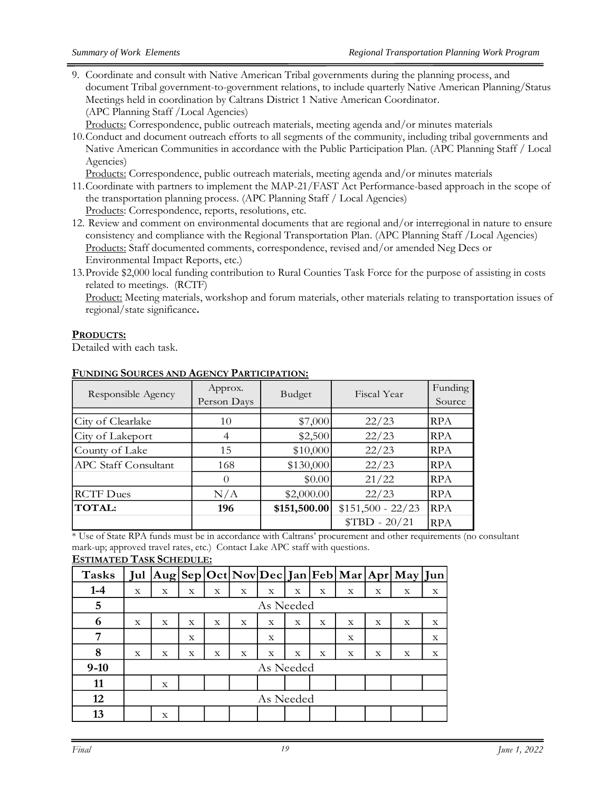9. Coordinate and consult with Native American Tribal governments during the planning process, and document Tribal government-to-government relations, to include quarterly Native American Planning/Status Meetings held in coordination by Caltrans District 1 Native American Coordinator. (APC Planning Staff /Local Agencies)

Products: Correspondence, public outreach materials, meeting agenda and/or minutes materials

10.Conduct and document outreach efforts to all segments of the community, including tribal governments and Native American Communities in accordance with the Public Participation Plan. (APC Planning Staff / Local Agencies)

Products: Correspondence, public outreach materials, meeting agenda and/or minutes materials

- 11.Coordinate with partners to implement the MAP-21/FAST Act Performance-based approach in the scope of the transportation planning process. (APC Planning Staff / Local Agencies) Products: Correspondence, reports, resolutions, etc.
- 12. Review and comment on environmental documents that are regional and/or interregional in nature to ensure consistency and compliance with the Regional Transportation Plan. (APC Planning Staff /Local Agencies) Products: Staff documented comments, correspondence, revised and/or amended Neg Decs or Environmental Impact Reports, etc.)
- 13.Provide \$2,000 local funding contribution to Rural Counties Task Force for the purpose of assisting in costs related to meetings. (RCTF)

Product: Meeting materials, workshop and forum materials, other materials relating to transportation issues of regional/state significance**.**

#### **PRODUCTS:**

Detailed with each task.

| Responsible Agency          | Approx.<br>Person Days | Budget       | Fiscal Year        | Funding<br>Source |
|-----------------------------|------------------------|--------------|--------------------|-------------------|
| City of Clearlake           | 10                     | \$7,000      | 22/23              | <b>RPA</b>        |
| City of Lakeport            | 4                      | \$2,500      | 22/23              | <b>RPA</b>        |
| County of Lake              | 15                     | \$10,000     | 22/23              | <b>RPA</b>        |
| <b>APC Staff Consultant</b> | 168                    | \$130,000    | 22/23              | <b>RPA</b>        |
|                             | $\Omega$               | \$0.00       | 21/22              | <b>RPA</b>        |
| <b>RCTF</b> Dues            | N/A                    | \$2,000.00   | 22/23              | <b>RPA</b>        |
| TOTAL:                      | 196                    | \$151,500.00 | $$151,500 - 22/23$ | <b>RPA</b>        |
|                             |                        |              | $$TBD - 20/21$     | <b>RPA</b>        |

#### **FUNDING SOURCES AND AGENCY PARTICIPATION:**

\* Use of State RPA funds must be in accordance with Caltrans' procurement and other requirements (no consultant mark-up; approved travel rates, etc.) Contact Lake APC staff with questions. **ESTIMATED TASK SCHEDULE:**

| <b>Tasks</b> | Jul         |   |             |             |   |           |             |             |             |             | $ Aug Sep Oct Nov Dec Jan Feb Mar Apr May Jun$ |   |
|--------------|-------------|---|-------------|-------------|---|-----------|-------------|-------------|-------------|-------------|------------------------------------------------|---|
| $1-4$        | X           | X | X           | X           | X | X         | X           | X           | X           | X           | X                                              | X |
| 5            |             |   |             |             |   | As Needed |             |             |             |             |                                                |   |
| 6            | X           | X | $\mathbf x$ | X           | X | X         | $\mathbf x$ | $\mathbf x$ | X           | $\mathbf x$ | $\mathbf x$                                    | X |
| 7            |             |   | $\mathbf x$ |             |   | X         |             |             | $\mathbf x$ |             |                                                | X |
| 8            | $\mathbf x$ | X | X           | $\mathbf X$ | X | X         | X           | X           | X           | X           | X                                              | X |
| $9-10$       |             |   |             |             |   | As Needed |             |             |             |             |                                                |   |
| 11           |             | X |             |             |   |           |             |             |             |             |                                                |   |
| 12           |             |   |             |             |   | As Needed |             |             |             |             |                                                |   |
| 13           |             | X |             |             |   |           |             |             |             |             |                                                |   |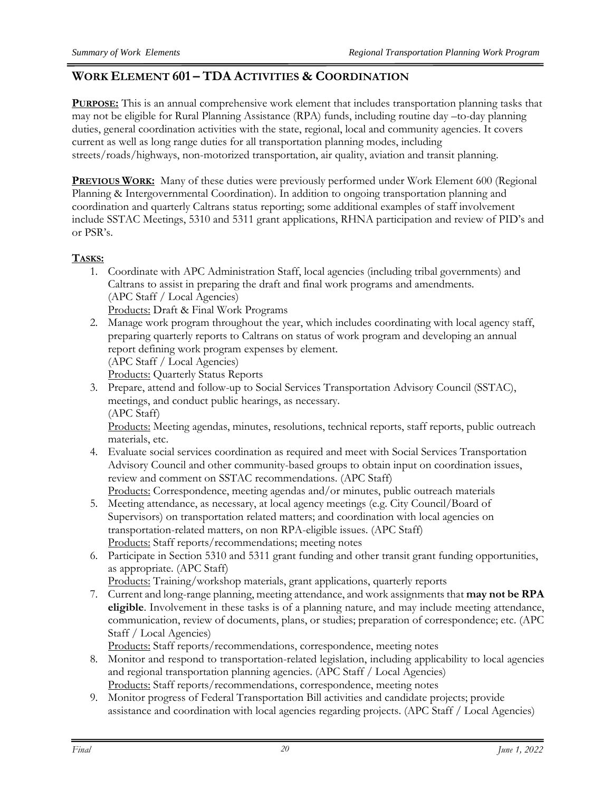# **WORK ELEMENT 601 – TDA ACTIVITIES & COORDINATION**

**PURPOSE:** This is an annual comprehensive work element that includes transportation planning tasks that may not be eligible for Rural Planning Assistance (RPA) funds, including routine day –to-day planning duties, general coordination activities with the state, regional, local and community agencies. It covers current as well as long range duties for all transportation planning modes, including streets/roads/highways, non-motorized transportation, air quality, aviation and transit planning.

**PREVIOUS WORK:** Many of these duties were previously performed under Work Element 600 (Regional Planning & Intergovernmental Coordination). In addition to ongoing transportation planning and coordination and quarterly Caltrans status reporting; some additional examples of staff involvement include SSTAC Meetings, 5310 and 5311 grant applications, RHNA participation and review of PID's and or PSR's.

#### **TASKS:**

- 1. Coordinate with APC Administration Staff, local agencies (including tribal governments) and Caltrans to assist in preparing the draft and final work programs and amendments. (APC Staff / Local Agencies) Products: Draft & Final Work Programs
- 2. Manage work program throughout the year, which includes coordinating with local agency staff, preparing quarterly reports to Caltrans on status of work program and developing an annual report defining work program expenses by element. (APC Staff / Local Agencies)

Products: Quarterly Status Reports

3. Prepare, attend and follow-up to Social Services Transportation Advisory Council (SSTAC), meetings, and conduct public hearings, as necessary. (APC Staff)

Products: Meeting agendas, minutes, resolutions, technical reports, staff reports, public outreach materials, etc.

- 4. Evaluate social services coordination as required and meet with Social Services Transportation Advisory Council and other community-based groups to obtain input on coordination issues, review and comment on SSTAC recommendations. (APC Staff) Products: Correspondence, meeting agendas and/or minutes, public outreach materials
- 5. Meeting attendance, as necessary, at local agency meetings (e.g. City Council/Board of Supervisors) on transportation related matters; and coordination with local agencies on transportation-related matters, on non RPA-eligible issues. (APC Staff) Products: Staff reports/recommendations; meeting notes
- 6. Participate in Section 5310 and 5311 grant funding and other transit grant funding opportunities, as appropriate. (APC Staff)

Products: Training/workshop materials, grant applications, quarterly reports

- 7. Current and long-range planning, meeting attendance, and work assignments that **may not be RPA eligible**. Involvement in these tasks is of a planning nature, and may include meeting attendance, communication, review of documents, plans, or studies; preparation of correspondence; etc. (APC Staff / Local Agencies)
	- Products: Staff reports/recommendations, correspondence, meeting notes
- 8. Monitor and respond to transportation-related legislation, including applicability to local agencies and regional transportation planning agencies. (APC Staff / Local Agencies) Products: Staff reports/recommendations, correspondence, meeting notes
- 9. Monitor progress of Federal Transportation Bill activities and candidate projects; provide assistance and coordination with local agencies regarding projects. (APC Staff / Local Agencies)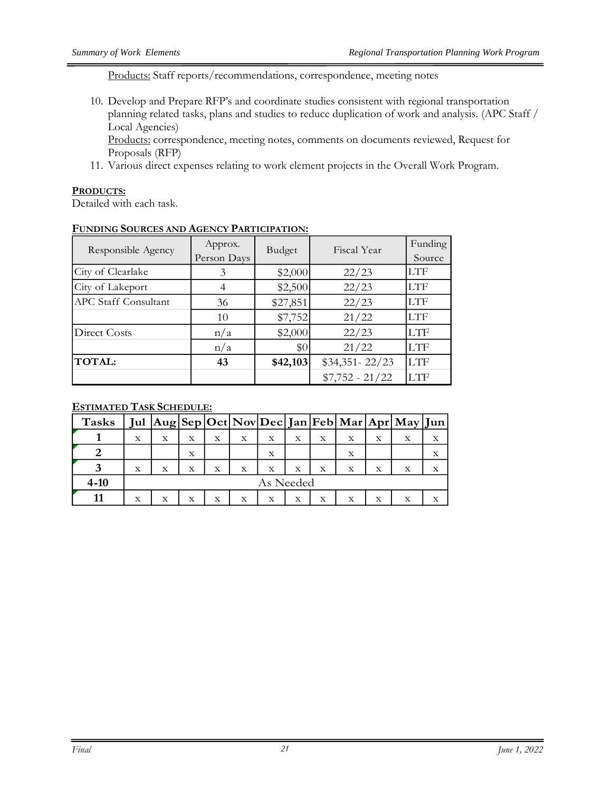Products: Staff reports/recommendations, correspondence, meeting notes

10. Develop and Prepare RFP's and coordinate studies consistent with regional transportation planning related tasks, plans and studies to reduce duplication of work and analysis. (APC Staff / Local Agencies)

Products: correspondence, meeting notes, comments on documents reviewed, Request for Proposals (RFP)

11. Various direct expenses relating to work element projects in the Overall Work Program.

#### **PRODUCTS:**

Detailed with each task.

| Responsible Agency   | Approx.<br>Person Days | Budget   | Fiscal Year       | Funding<br>Source |
|----------------------|------------------------|----------|-------------------|-------------------|
| City of Clearlake    | 3                      | \$2,000  | 22/23             | LTF               |
| City of Lakeport     |                        | \$2,500  | 22/23             | <b>LTF</b>        |
| APC Staff Consultant | 36                     | \$27,851 | 22/23             | <b>LTF</b>        |
|                      | 10                     | \$7,752  | 21/22             | <b>LTF</b>        |
| Direct Costs         | n/a                    | \$2,000  | 22/23             | <b>LTF</b>        |
|                      | n/a                    | \$0      | 21/22             | <b>LTF</b>        |
| TOTAL:               | 43                     | \$42,103 | $$34,351 - 22/23$ | <b>LTF</b>        |
|                      |                        |          | $$7,752 - 21/22$  | <b>LTF</b>        |

#### **FUNDING SOURCES AND AGENCY PARTICIPATION:**

| <b>Tasks</b> |             |           |   |   |   |   |   |             |   |   | Jul   Aug   Sep   Oct   Nov   Dec   Jan   Feb   Mar   Apr   May   Jun |   |
|--------------|-------------|-----------|---|---|---|---|---|-------------|---|---|-----------------------------------------------------------------------|---|
|              | X           | X         | X | X | X | X | X | X           | х | X | $\mathbf x$                                                           |   |
|              |             |           | X |   |   | X |   |             | X |   |                                                                       | X |
|              | $\mathbf X$ | X         | X | X | х | X | X | $\mathbf X$ | X | X | $\mathbf x$                                                           |   |
| $4 - 10$     |             | As Needed |   |   |   |   |   |             |   |   |                                                                       |   |
|              | X           | X         | X | X | X | X | X | X           | х | X | X                                                                     |   |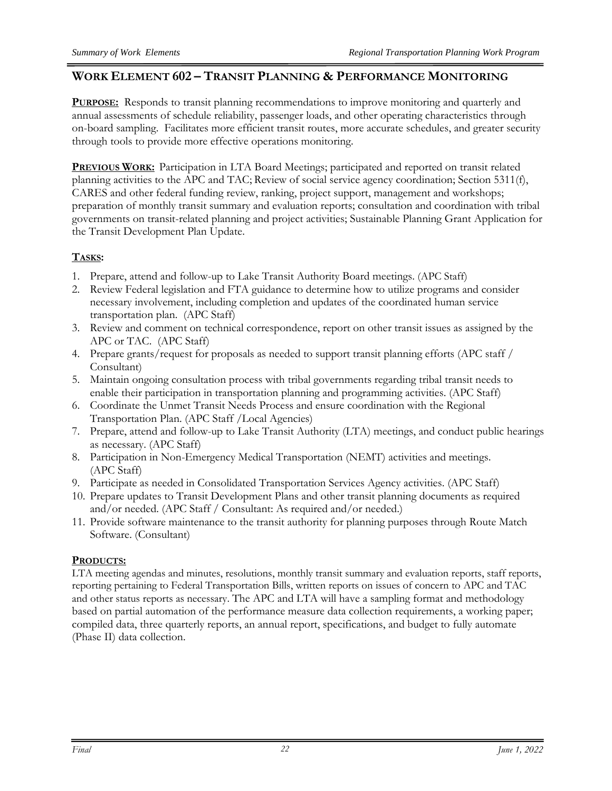# **WORK ELEMENT 602 – TRANSIT PLANNING & PERFORMANCE MONITORING**

**PURPOSE:** Responds to transit planning recommendations to improve monitoring and quarterly and annual assessments of schedule reliability, passenger loads, and other operating characteristics through on-board sampling. Facilitates more efficient transit routes, more accurate schedules, and greater security through tools to provide more effective operations monitoring.

**PREVIOUS WORK:** Participation in LTA Board Meetings; participated and reported on transit related planning activities to the APC and TAC; Review of social service agency coordination; Section 5311(f), CARES and other federal funding review, ranking, project support, management and workshops; preparation of monthly transit summary and evaluation reports; consultation and coordination with tribal governments on transit-related planning and project activities; Sustainable Planning Grant Application for the Transit Development Plan Update.

# **TASKS:**

- 1. Prepare, attend and follow-up to Lake Transit Authority Board meetings. (APC Staff)
- 2. Review Federal legislation and FTA guidance to determine how to utilize programs and consider necessary involvement, including completion and updates of the coordinated human service transportation plan. (APC Staff)
- 3. Review and comment on technical correspondence, report on other transit issues as assigned by the APC or TAC. (APC Staff)
- 4. Prepare grants/request for proposals as needed to support transit planning efforts (APC staff / Consultant)
- 5. Maintain ongoing consultation process with tribal governments regarding tribal transit needs to enable their participation in transportation planning and programming activities. (APC Staff)
- 6. Coordinate the Unmet Transit Needs Process and ensure coordination with the Regional Transportation Plan. (APC Staff /Local Agencies)
- 7. Prepare, attend and follow-up to Lake Transit Authority (LTA) meetings, and conduct public hearings as necessary. (APC Staff)
- 8. Participation in Non-Emergency Medical Transportation (NEMT) activities and meetings. (APC Staff)
- 9. Participate as needed in Consolidated Transportation Services Agency activities. (APC Staff)
- 10. Prepare updates to Transit Development Plans and other transit planning documents as required and/or needed. (APC Staff / Consultant: As required and/or needed.)
- 11. Provide software maintenance to the transit authority for planning purposes through Route Match Software. (Consultant)

# **PRODUCTS:**

LTA meeting agendas and minutes, resolutions, monthly transit summary and evaluation reports, staff reports, reporting pertaining to Federal Transportation Bills, written reports on issues of concern to APC and TAC and other status reports as necessary. The APC and LTA will have a sampling format and methodology based on partial automation of the performance measure data collection requirements, a working paper; compiled data, three quarterly reports, an annual report, specifications, and budget to fully automate (Phase II) data collection.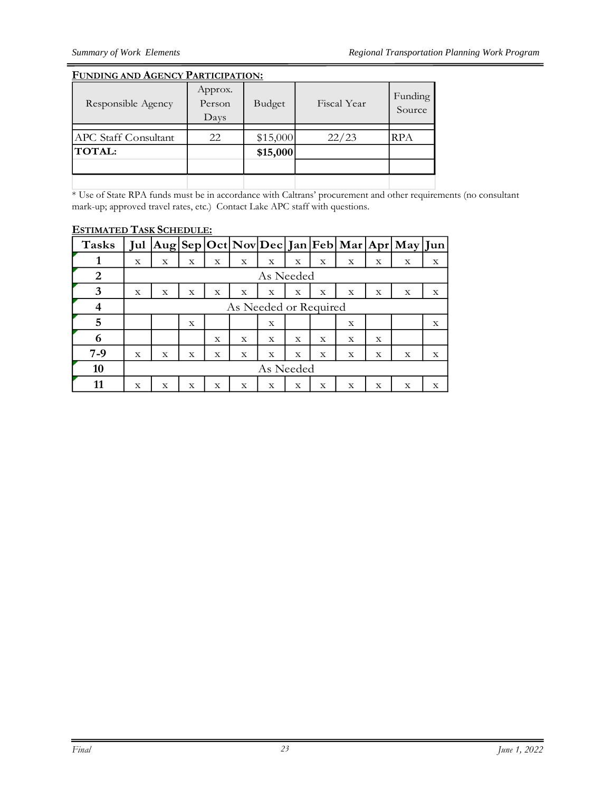#### **FUNDING AND AGENCY PARTICIPATION:**

| Responsible Agency          | Approx.<br>Person<br>Days | Budget   | Fiscal Year | Funding<br>Source |
|-----------------------------|---------------------------|----------|-------------|-------------------|
|                             |                           |          |             |                   |
| <b>APC</b> Staff Consultant | 22                        | \$15,000 | 22/23       | RPA               |
| <b>TOTAL:</b>               |                           | \$15,000 |             |                   |
|                             |                           |          |             |                   |
|                             |                           |          |             |                   |

\* Use of State RPA funds must be in accordance with Caltrans' procurement and other requirements (no consultant mark-up; approved travel rates, etc.) Contact Lake APC staff with questions.

| -----------  |     | $\blacksquare$ |   |   |                       |           |             |             |             |   |                                             |   |
|--------------|-----|----------------|---|---|-----------------------|-----------|-------------|-------------|-------------|---|---------------------------------------------|---|
| <b>Tasks</b> | Jul |                |   |   |                       |           |             |             |             |   | Aug Sep Oct Nov Dec Jan Feb Mar Apr May Jun |   |
|              | X   | X              | X | X | X                     | X         | X           | X           | X           | X | X                                           | X |
| 2            |     |                |   |   |                       | As Needed |             |             |             |   |                                             |   |
| 3            | X   | X              | X | X | X                     | X         | X           | X           | X           | X | X                                           | X |
| 4            |     |                |   |   | As Needed or Required |           |             |             |             |   |                                             |   |
| 5            |     |                | X |   |                       | X         |             |             | X           |   |                                             | X |
| 6            |     |                |   | X | X                     | X         | X           | X           | X           | X |                                             |   |
| $7-9$        | X   | X              | X | X | X                     | X         | $\mathbf X$ | $\mathbf X$ | $\mathbf X$ | X | X                                           | X |
| 10           |     | As Needed      |   |   |                       |           |             |             |             |   |                                             |   |
| 11           | X   | X              | X | X | X                     | X         | X           | X           | X           | X | X                                           | X |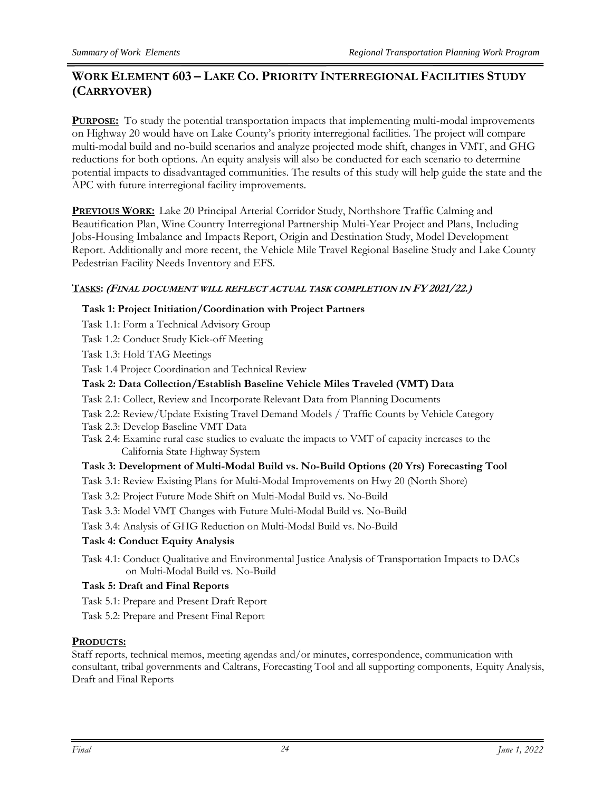# **WORK ELEMENT 603 – LAKE CO. PRIORITY INTERREGIONAL FACILITIES STUDY (CARRYOVER)**

**PURPOSE:** To study the potential transportation impacts that implementing multi-modal improvements on Highway 20 would have on Lake County's priority interregional facilities. The project will compare multi-modal build and no-build scenarios and analyze projected mode shift, changes in VMT, and GHG reductions for both options. An equity analysis will also be conducted for each scenario to determine potential impacts to disadvantaged communities. The results of this study will help guide the state and the APC with future interregional facility improvements.

**PREVIOUS WORK:** Lake 20 Principal Arterial Corridor Study, Northshore Traffic Calming and Beautification Plan, Wine Country Interregional Partnership Multi-Year Project and Plans, Including Jobs-Housing Imbalance and Impacts Report, Origin and Destination Study, Model Development Report. Additionally and more recent, the Vehicle Mile Travel Regional Baseline Study and Lake County Pedestrian Facility Needs Inventory and EFS.

#### **TASKS: (FINAL DOCUMENT WILL REFLECT ACTUAL TASK COMPLETION IN FY 2021/22.)**

#### **Task 1: Project Initiation/Coordination with Project Partners**

- Task 1.1: Form a Technical Advisory Group
- Task 1.2: Conduct Study Kick-off Meeting
- Task 1.3: Hold TAG Meetings

Task 1.4 Project Coordination and Technical Review

#### **Task 2: Data Collection/Establish Baseline Vehicle Miles Traveled (VMT) Data**

- Task 2.1: Collect, Review and Incorporate Relevant Data from Planning Documents
- Task 2.2: Review/Update Existing Travel Demand Models / Traffic Counts by Vehicle Category
- Task 2.3: Develop Baseline VMT Data
- Task 2.4: Examine rural case studies to evaluate the impacts to VMT of capacity increases to the California State Highway System

#### **Task 3: Development of Multi-Modal Build vs. No-Build Options (20 Yrs) Forecasting Tool**

- Task 3.1: Review Existing Plans for Multi-Modal Improvements on Hwy 20 (North Shore)
- Task 3.2: Project Future Mode Shift on Multi-Modal Build vs. No-Build
- Task 3.3: Model VMT Changes with Future Multi-Modal Build vs. No-Build
- Task 3.4: Analysis of GHG Reduction on Multi-Modal Build vs. No-Build

#### **Task 4: Conduct Equity Analysis**

Task 4.1: Conduct Qualitative and Environmental Justice Analysis of Transportation Impacts to DACs on Multi-Modal Build vs. No-Build

#### **Task 5: Draft and Final Reports**

- Task 5.1: Prepare and Present Draft Report
- Task 5.2: Prepare and Present Final Report

#### **PRODUCTS:**

Staff reports, technical memos, meeting agendas and/or minutes, correspondence, communication with consultant, tribal governments and Caltrans, Forecasting Tool and all supporting components, Equity Analysis, Draft and Final Reports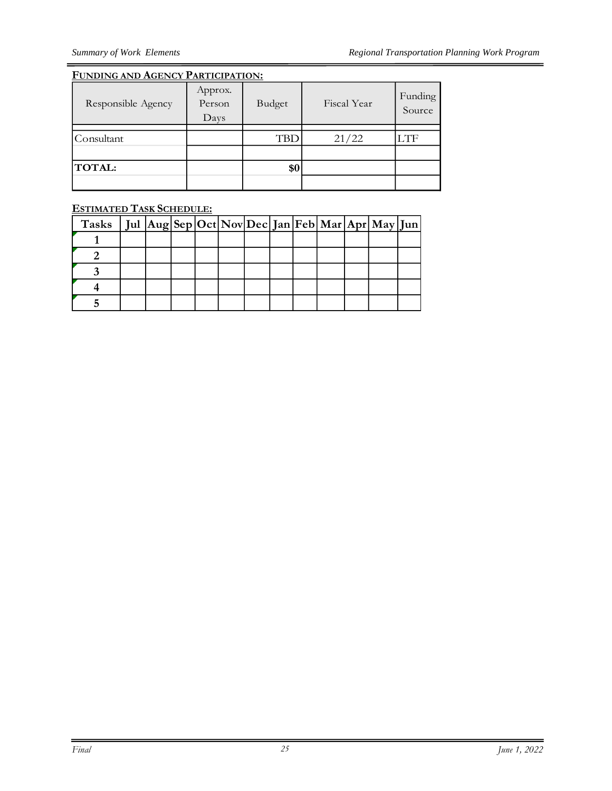#### **FUNDING AND AGENCY PARTICIPATION:**

| Responsible Agency | Approx.<br>Person<br>Days | Budget | Fiscal Year | Funding<br>Source |
|--------------------|---------------------------|--------|-------------|-------------------|
| Consultant         |                           | TBD    | 21/22       | .TF               |
| TOTAL:             |                           | \$0    |             |                   |
|                    |                           |        |             |                   |

| Tasks   Jul $ Aug Sep Oct Nov Dec Jan Feb Mar Apr May Jun $ |  |  |  |  |  |  |
|-------------------------------------------------------------|--|--|--|--|--|--|
|                                                             |  |  |  |  |  |  |
|                                                             |  |  |  |  |  |  |
|                                                             |  |  |  |  |  |  |
|                                                             |  |  |  |  |  |  |
|                                                             |  |  |  |  |  |  |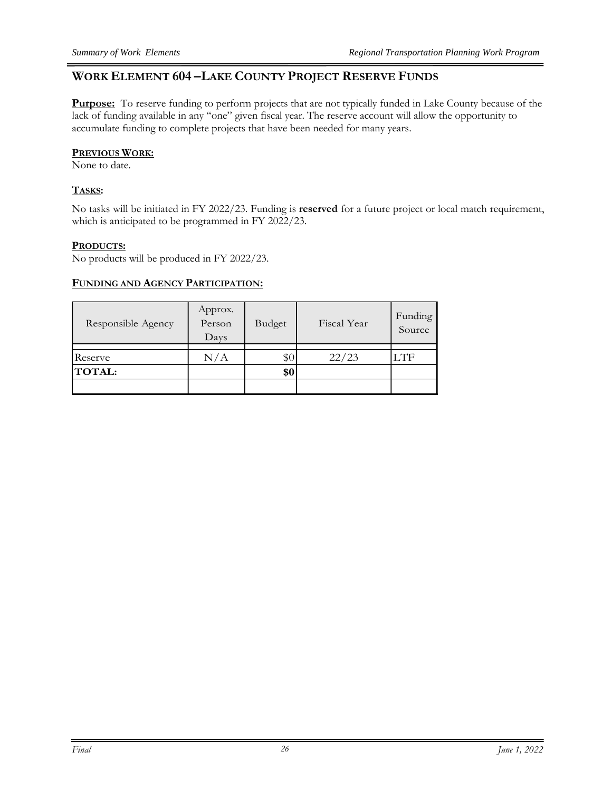## **WORK ELEMENT 604 –LAKE COUNTY PROJECT RESERVE FUNDS**

**Purpose:** To reserve funding to perform projects that are not typically funded in Lake County because of the lack of funding available in any "one" given fiscal year. The reserve account will allow the opportunity to accumulate funding to complete projects that have been needed for many years.

#### **PREVIOUS WORK:**

None to date.

#### **TASKS:**

No tasks will be initiated in FY 2022/23. Funding is **reserved** for a future project or local match requirement, which is anticipated to be programmed in FY 2022/23.

#### **PRODUCTS:**

No products will be produced in FY 2022/23.

#### **FUNDING AND AGENCY PARTICIPATION:**

| Responsible Agency | Approx.<br>Person<br>Days | Budget | Fiscal Year | Funding<br>Source |
|--------------------|---------------------------|--------|-------------|-------------------|
| Reserve            | N/A                       | \$0    | 22/23       | LTF               |
| TOTAL:             |                           | \$0    |             |                   |
|                    |                           |        |             |                   |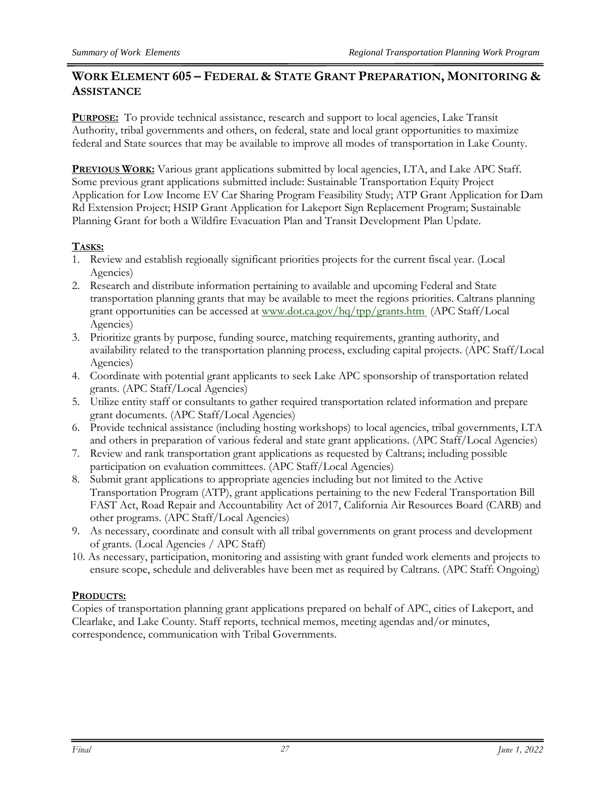# **WORK ELEMENT 605 – FEDERAL & STATE GRANT PREPARATION, MONITORING & ASSISTANCE**

**PURPOSE:** To provide technical assistance, research and support to local agencies, Lake Transit Authority, tribal governments and others, on federal, state and local grant opportunities to maximize federal and State sources that may be available to improve all modes of transportation in Lake County.

**PREVIOUS WORK:** Various grant applications submitted by local agencies, LTA, and Lake APC Staff. Some previous grant applications submitted include: Sustainable Transportation Equity Project Application for Low Income EV Car Sharing Program Feasibility Study; ATP Grant Application for Dam Rd Extension Project; HSIP Grant Application for Lakeport Sign Replacement Program; Sustainable Planning Grant for both a Wildfire Evacuation Plan and Transit Development Plan Update.

# **TASKS:**

- 1. Review and establish regionally significant priorities projects for the current fiscal year. (Local Agencies)
- 2. Research and distribute information pertaining to available and upcoming Federal and State transportation planning grants that may be available to meet the regions priorities. Caltrans planning grant opportunities can be accessed at [www.dot.ca.gov/hq/tpp/grants.htm](http://www.dot.ca.gov/hq/tpp/grants.htm) (APC Staff/Local Agencies)
- 3. Prioritize grants by purpose, funding source, matching requirements, granting authority, and availability related to the transportation planning process, excluding capital projects. (APC Staff/Local Agencies)
- 4. Coordinate with potential grant applicants to seek Lake APC sponsorship of transportation related grants. (APC Staff/Local Agencies)
- 5. Utilize entity staff or consultants to gather required transportation related information and prepare grant documents. (APC Staff/Local Agencies)
- 6. Provide technical assistance (including hosting workshops) to local agencies, tribal governments, LTA and others in preparation of various federal and state grant applications. (APC Staff/Local Agencies)
- 7. Review and rank transportation grant applications as requested by Caltrans; including possible participation on evaluation committees. (APC Staff/Local Agencies)
- 8. Submit grant applications to appropriate agencies including but not limited to the Active Transportation Program (ATP), grant applications pertaining to the new Federal Transportation Bill FAST Act, Road Repair and Accountability Act of 2017, California Air Resources Board (CARB) and other programs. (APC Staff/Local Agencies)
- 9. As necessary, coordinate and consult with all tribal governments on grant process and development of grants. (Local Agencies / APC Staff)
- 10. As necessary, participation, monitoring and assisting with grant funded work elements and projects to ensure scope, schedule and deliverables have been met as required by Caltrans. (APC Staff: Ongoing)

#### **PRODUCTS:**

Copies of transportation planning grant applications prepared on behalf of APC, cities of Lakeport, and Clearlake, and Lake County. Staff reports, technical memos, meeting agendas and/or minutes, correspondence, communication with Tribal Governments.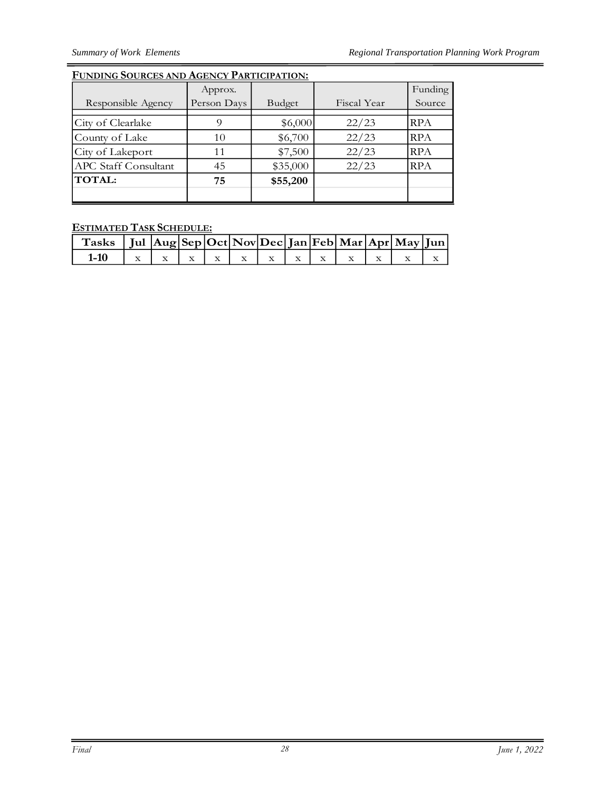# **FUNDING SOURCES AND AGENCY PARTICIPATION:**

|                             | Approx.     |          |             | Funding    |
|-----------------------------|-------------|----------|-------------|------------|
| Responsible Agency          | Person Days | Budget   | Fiscal Year | Source     |
|                             |             |          |             |            |
| City of Clearlake           | 9           | \$6,000  | 22/23       | RPA        |
| County of Lake              | 10          | \$6,700  | 22/23       | <b>RPA</b> |
| City of Lakeport            | 11          | \$7,500  | 22/23       | <b>RPA</b> |
| <b>APC</b> Staff Consultant | 45          | \$35,000 | 22/23       | <b>RPA</b> |
| <b>TOTAL:</b>               | 75          | \$55,200 |             |            |
|                             |             |          |             |            |

| Tasks   Jul Aug Sep Oct Nov Dec Jan Feb Mar Apr May Jun |  |  |  |  |  |  |
|---------------------------------------------------------|--|--|--|--|--|--|
|                                                         |  |  |  |  |  |  |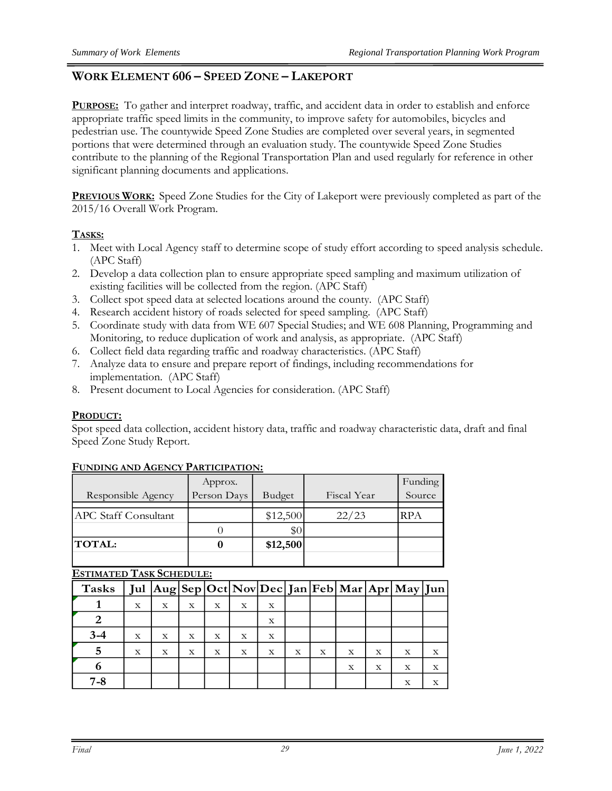# **WORK ELEMENT 606 – SPEED ZONE – LAKEPORT**

**PURPOSE:** To gather and interpret roadway, traffic, and accident data in order to establish and enforce appropriate traffic speed limits in the community, to improve safety for automobiles, bicycles and pedestrian use. The countywide Speed Zone Studies are completed over several years, in segmented portions that were determined through an evaluation study. The countywide Speed Zone Studies contribute to the planning of the Regional Transportation Plan and used regularly for reference in other significant planning documents and applications.

**PREVIOUS WORK:** Speed Zone Studies for the City of Lakeport were previously completed as part of the 2015/16 Overall Work Program.

#### **TASKS:**

- 1. Meet with Local Agency staff to determine scope of study effort according to speed analysis schedule. (APC Staff)
- 2. Develop a data collection plan to ensure appropriate speed sampling and maximum utilization of existing facilities will be collected from the region. (APC Staff)
- 3. Collect spot speed data at selected locations around the county. (APC Staff)
- 4. Research accident history of roads selected for speed sampling. (APC Staff)
- 5. Coordinate study with data from WE 607 Special Studies; and WE 608 Planning, Programming and Monitoring, to reduce duplication of work and analysis, as appropriate. (APC Staff)
- 6. Collect field data regarding traffic and roadway characteristics. (APC Staff)
- 7. Analyze data to ensure and prepare report of findings, including recommendations for implementation. (APC Staff)
- 8. Present document to Local Agencies for consideration. (APC Staff)

#### **PRODUCT:**

Spot speed data collection, accident history data, traffic and roadway characteristic data, draft and final Speed Zone Study Report.

|                             | Approx.     |          |             | Funding    |
|-----------------------------|-------------|----------|-------------|------------|
| Responsible Agency          | Person Days | Budget   | Fiscal Year | Source     |
|                             |             |          |             |            |
| <b>APC Staff Consultant</b> |             | \$12,500 | 22/23       | <b>RPA</b> |
|                             |             | \$(      |             |            |
| <b>TOTAL:</b>               |             | \$12,500 |             |            |
|                             |             |          |             |            |

#### **FUNDING AND AGENCY PARTICIPATION:**

| Tasks   |             |   |   |   |   |   |   |   |             |   | Jul   Aug   Sep   Oct   Nov   Dec   Jan   Feb   Mar   Apr   May   Jun |   |
|---------|-------------|---|---|---|---|---|---|---|-------------|---|-----------------------------------------------------------------------|---|
|         | X           | X | X | X | х | X |   |   |             |   |                                                                       |   |
|         |             |   |   |   |   | X |   |   |             |   |                                                                       |   |
| $3 - 4$ | $\mathbf x$ | X | X | X | X | X |   |   |             |   |                                                                       |   |
|         | X           | X | X | х | X | X | х | X | X           | х | X                                                                     | X |
|         |             |   |   |   |   |   |   |   | $\mathbf X$ | X | $\mathbf x$                                                           | X |
| 7-8     |             |   |   |   |   |   |   |   |             |   | X                                                                     | X |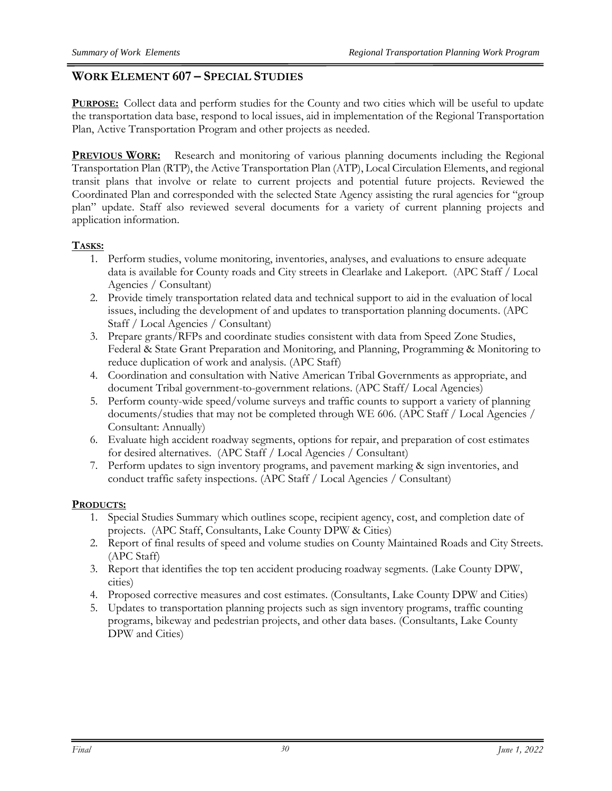# **WORK ELEMENT 607 – SPECIAL STUDIES**

**PURPOSE:** Collect data and perform studies for the County and two cities which will be useful to update the transportation data base, respond to local issues, aid in implementation of the Regional Transportation Plan, Active Transportation Program and other projects as needed.

**PREVIOUS WORK:** Research and monitoring of various planning documents including the Regional Transportation Plan (RTP), the Active Transportation Plan (ATP), Local Circulation Elements, and regional transit plans that involve or relate to current projects and potential future projects. Reviewed the Coordinated Plan and corresponded with the selected State Agency assisting the rural agencies for "group plan" update. Staff also reviewed several documents for a variety of current planning projects and application information.

# **TASKS:**

- 1. Perform studies, volume monitoring, inventories, analyses, and evaluations to ensure adequate data is available for County roads and City streets in Clearlake and Lakeport. (APC Staff / Local Agencies / Consultant)
- 2. Provide timely transportation related data and technical support to aid in the evaluation of local issues, including the development of and updates to transportation planning documents. (APC Staff / Local Agencies / Consultant)
- 3. Prepare grants/RFPs and coordinate studies consistent with data from Speed Zone Studies, Federal & State Grant Preparation and Monitoring, and Planning, Programming & Monitoring to reduce duplication of work and analysis. (APC Staff)
- 4. Coordination and consultation with Native American Tribal Governments as appropriate, and document Tribal government-to-government relations. (APC Staff/ Local Agencies)
- 5. Perform county-wide speed/volume surveys and traffic counts to support a variety of planning documents/studies that may not be completed through WE 606. (APC Staff / Local Agencies / Consultant: Annually)
- 6. Evaluate high accident roadway segments, options for repair, and preparation of cost estimates for desired alternatives. (APC Staff / Local Agencies / Consultant)
- 7. Perform updates to sign inventory programs, and pavement marking & sign inventories, and conduct traffic safety inspections. (APC Staff / Local Agencies / Consultant)

# **PRODUCTS:**

- 1. Special Studies Summary which outlines scope, recipient agency, cost, and completion date of projects. (APC Staff, Consultants, Lake County DPW & Cities)
- 2. Report of final results of speed and volume studies on County Maintained Roads and City Streets. (APC Staff)
- 3. Report that identifies the top ten accident producing roadway segments. (Lake County DPW, cities)
- 4. Proposed corrective measures and cost estimates. (Consultants, Lake County DPW and Cities)
- 5. Updates to transportation planning projects such as sign inventory programs, traffic counting programs, bikeway and pedestrian projects, and other data bases. (Consultants, Lake County DPW and Cities)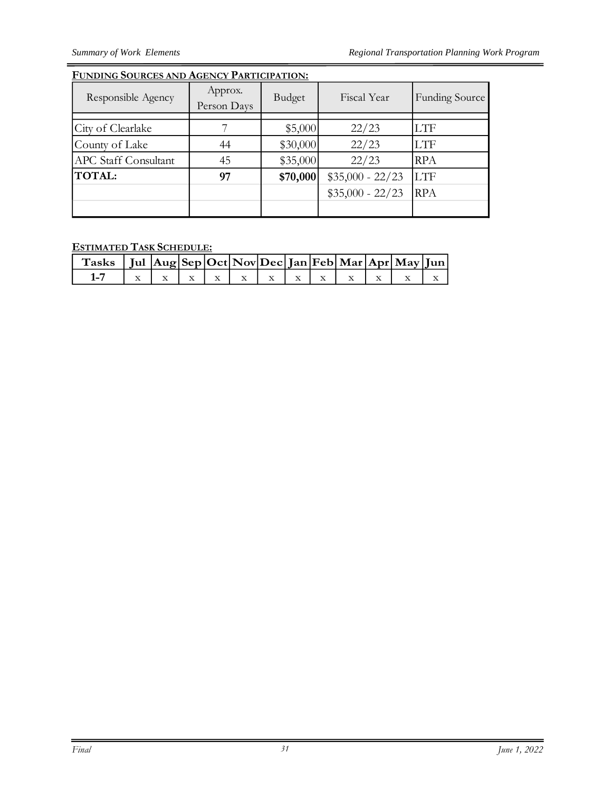### **FUNDING SOURCES AND AGENCY PARTICIPATION:**

| Responsible Agency          | Approx.<br>Person Days | Budget   | Fiscal Year       | <b>Funding Source</b> |
|-----------------------------|------------------------|----------|-------------------|-----------------------|
|                             |                        |          |                   |                       |
| City of Clearlake           |                        | \$5,000  | 22/23             | <b>LTF</b>            |
| County of Lake              | 44                     | \$30,000 | 22/23             | <b>LTF</b>            |
| <b>APC</b> Staff Consultant | 45                     | \$35,000 | 22/23             | <b>RPA</b>            |
| <b>TOTAL:</b>               | 97                     | \$70,000 | $$35,000 - 22/23$ | <b>LTF</b>            |
|                             |                        |          | $$35,000 - 22/23$ | <b>RPA</b>            |
|                             |                        |          |                   |                       |

**ESTIMATED TASK SCHEDULE:**

| Tasks   Jul Aug Sep Oct Nov Dec Jan Feb Mar Apr May Jun |  |  |  |  |  |  |
|---------------------------------------------------------|--|--|--|--|--|--|
|                                                         |  |  |  |  |  |  |

 $=$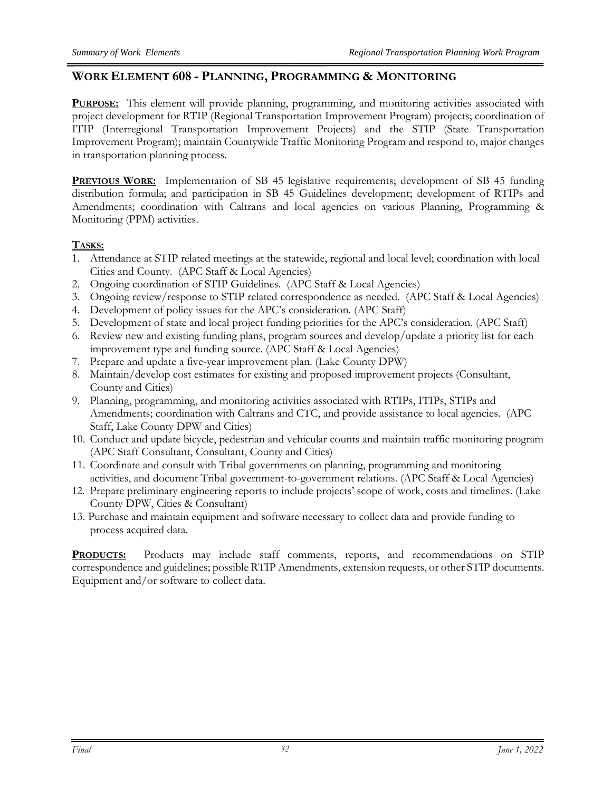# **WORK ELEMENT 608 - PLANNING, PROGRAMMING & MONITORING**

**PURPOSE:** This element will provide planning, programming, and monitoring activities associated with project development for RTIP (Regional Transportation Improvement Program) projects; coordination of ITIP (Interregional Transportation Improvement Projects) and the STIP (State Transportation Improvement Program); maintain Countywide Traffic Monitoring Program and respond to, major changes in transportation planning process.

**PREVIOUS WORK:** Implementation of SB 45 legislative requirements; development of SB 45 funding distribution formula; and participation in SB 45 Guidelines development; development of RTIPs and Amendments; coordination with Caltrans and local agencies on various Planning, Programming & Monitoring (PPM) activities.

# **TASKS:**

- 1. Attendance at STIP related meetings at the statewide, regional and local level; coordination with local Cities and County. (APC Staff & Local Agencies)
- 2. Ongoing coordination of STIP Guidelines. (APC Staff & Local Agencies)
- 3. Ongoing review/response to STIP related correspondence as needed. (APC Staff & Local Agencies)
- 4. Development of policy issues for the APC's consideration. (APC Staff)
- 5. Development of state and local project funding priorities for the APC's consideration. (APC Staff)
- 6. Review new and existing funding plans, program sources and develop/update a priority list for each improvement type and funding source. (APC Staff & Local Agencies)
- 7. Prepare and update a five-year improvement plan. (Lake County DPW)
- 8. Maintain/develop cost estimates for existing and proposed improvement projects (Consultant, County and Cities)
- 9. Planning, programming, and monitoring activities associated with RTIPs, ITIPs, STIPs and Amendments; coordination with Caltrans and CTC, and provide assistance to local agencies. (APC Staff, Lake County DPW and Cities)
- 10. Conduct and update bicycle, pedestrian and vehicular counts and maintain traffic monitoring program (APC Staff Consultant, Consultant, County and Cities)
- 11. Coordinate and consult with Tribal governments on planning, programming and monitoring activities, and document Tribal government-to-government relations. (APC Staff & Local Agencies)
- 12. Prepare preliminary engineering reports to include projects' scope of work, costs and timelines. (Lake County DPW, Cities & Consultant)
- 13. Purchase and maintain equipment and software necessary to collect data and provide funding to process acquired data.

**PRODUCTS:** Products may include staff comments, reports, and recommendations on STIP correspondence and guidelines; possible RTIP Amendments, extension requests, or other STIP documents. Equipment and/or software to collect data.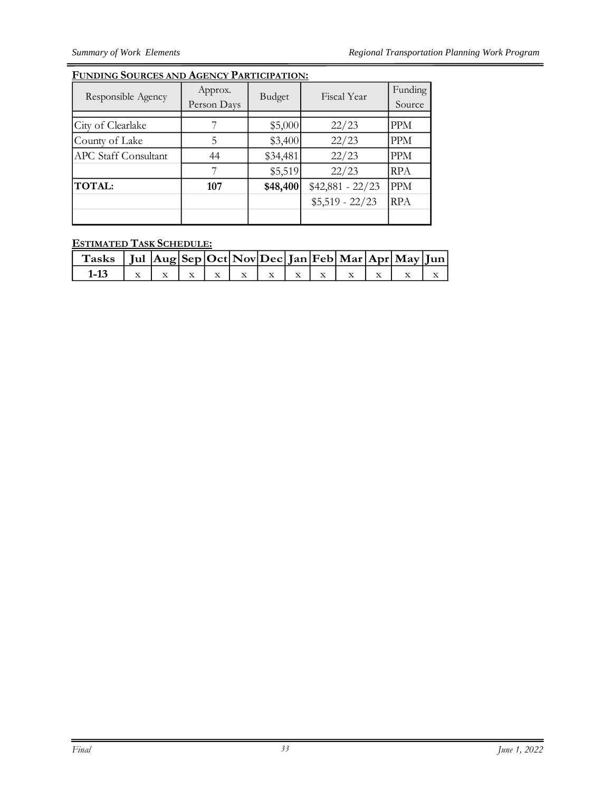# **FUNDING SOURCES AND AGENCY PARTICIPATION:**

| Responsible Agency          | Approx.<br>Person Days | Budget   | Fiscal Year       | Funding<br>Source |
|-----------------------------|------------------------|----------|-------------------|-------------------|
|                             |                        |          |                   |                   |
| City of Clearlake           |                        | \$5,000  | 22/23             | PPM               |
| County of Lake              | 5                      | \$3,400  | 22/23             | <b>PPM</b>        |
| <b>APC</b> Staff Consultant | 44                     | \$34,481 | 22/23             | <b>PPM</b>        |
|                             |                        | \$5,519  | 22/23             | <b>RPA</b>        |
| <b>TOTAL:</b>               | 107                    | \$48,400 | $$42,881 - 22/23$ | <b>PPM</b>        |
|                             |                        |          | $$5,519 - 22/23$  | <b>RPA</b>        |
|                             |                        |          |                   |                   |

# **ESTIMATED TASK SCHEDULE:**

| $\int$ Tasks   Jul $\left \text{Aug}\right \text{Sep}\left \text{Oct}\right \text{Nov}\left \text{Dec}\right \text{Jan}\left \text{Feb}\right \text{Mar}\left \text{Apr}\right \text{May}\left \text{Jun}\right $ |  |  |  |  |  |  |
|-------------------------------------------------------------------------------------------------------------------------------------------------------------------------------------------------------------------|--|--|--|--|--|--|
| 1-13   $x$   $x$   $x$   $x$   $x$   $x$   $x$   $x$   $x$   $x$   $x$   $x$   $x$                                                                                                                                |  |  |  |  |  |  |

 $=$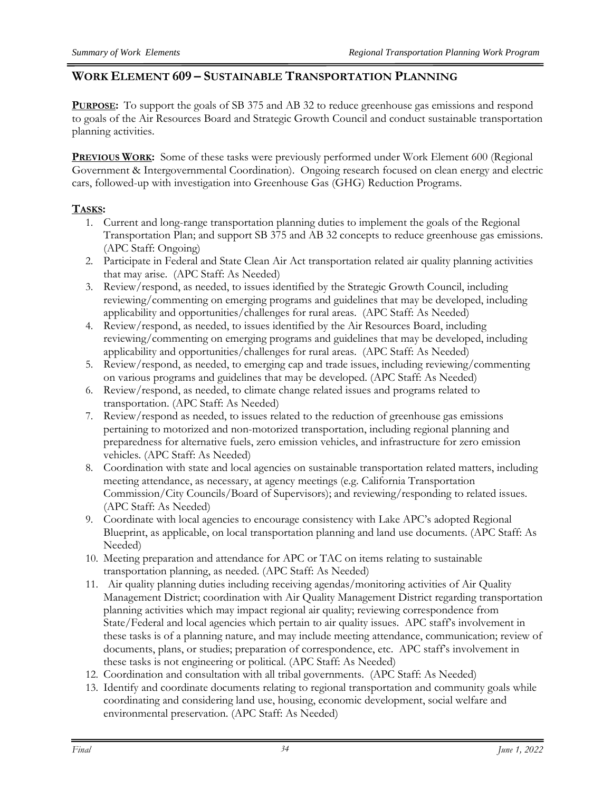# **WORK ELEMENT 609 – SUSTAINABLE TRANSPORTATION PLANNING**

**PURPOSE:** To support the goals of SB 375 and AB 32 to reduce greenhouse gas emissions and respond to goals of the Air Resources Board and Strategic Growth Council and conduct sustainable transportation planning activities.

**PREVIOUS WORK:** Some of these tasks were previously performed under Work Element 600 (Regional Government & Intergovernmental Coordination). Ongoing research focused on clean energy and electric cars, followed-up with investigation into Greenhouse Gas (GHG) Reduction Programs.

# **TASKS:**

- 1. Current and long-range transportation planning duties to implement the goals of the Regional Transportation Plan; and support SB 375 and AB 32 concepts to reduce greenhouse gas emissions. (APC Staff: Ongoing)
- 2. Participate in Federal and State Clean Air Act transportation related air quality planning activities that may arise. (APC Staff: As Needed)
- 3. Review/respond, as needed, to issues identified by the Strategic Growth Council, including reviewing/commenting on emerging programs and guidelines that may be developed, including applicability and opportunities/challenges for rural areas. (APC Staff: As Needed)
- 4. Review/respond, as needed, to issues identified by the Air Resources Board, including reviewing/commenting on emerging programs and guidelines that may be developed, including applicability and opportunities/challenges for rural areas. (APC Staff: As Needed)
- 5. Review/respond, as needed, to emerging cap and trade issues, including reviewing/commenting on various programs and guidelines that may be developed. (APC Staff: As Needed)
- 6. Review/respond, as needed, to climate change related issues and programs related to transportation. (APC Staff: As Needed)
- 7. Review/respond as needed, to issues related to the reduction of greenhouse gas emissions pertaining to motorized and non-motorized transportation, including regional planning and preparedness for alternative fuels, zero emission vehicles, and infrastructure for zero emission vehicles. (APC Staff: As Needed)
- 8. Coordination with state and local agencies on sustainable transportation related matters, including meeting attendance, as necessary, at agency meetings (e.g. California Transportation Commission/City Councils/Board of Supervisors); and reviewing/responding to related issues. (APC Staff: As Needed)
- 9. Coordinate with local agencies to encourage consistency with Lake APC's adopted Regional Blueprint, as applicable, on local transportation planning and land use documents. (APC Staff: As Needed)
- 10. Meeting preparation and attendance for APC or TAC on items relating to sustainable transportation planning, as needed. (APC Staff: As Needed)
- 11. Air quality planning duties including receiving agendas/monitoring activities of Air Quality Management District; coordination with Air Quality Management District regarding transportation planning activities which may impact regional air quality; reviewing correspondence from State/Federal and local agencies which pertain to air quality issues. APC staff's involvement in these tasks is of a planning nature, and may include meeting attendance, communication; review of documents, plans, or studies; preparation of correspondence, etc. APC staff's involvement in these tasks is not engineering or political. (APC Staff: As Needed)
- 12. Coordination and consultation with all tribal governments. (APC Staff: As Needed)
- 13. Identify and coordinate documents relating to regional transportation and community goals while coordinating and considering land use, housing, economic development, social welfare and environmental preservation. (APC Staff: As Needed)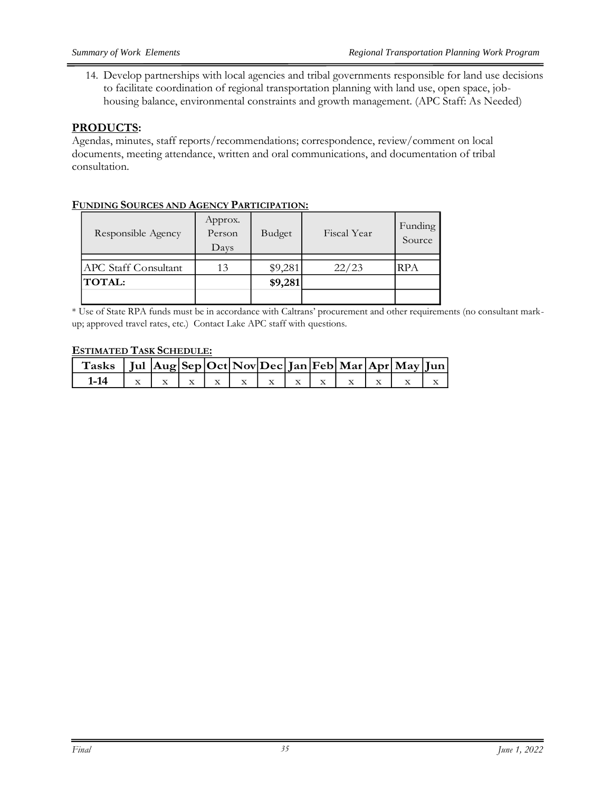14. Develop partnerships with local agencies and tribal governments responsible for land use decisions to facilitate coordination of regional transportation planning with land use, open space, jobhousing balance, environmental constraints and growth management. (APC Staff: As Needed)

#### **PRODUCTS:**

Agendas, minutes, staff reports/recommendations; correspondence, review/comment on local documents, meeting attendance, written and oral communications, and documentation of tribal consultation.

| <u>UNDING UOURCES INNDIAGENCI TIIRITCII IMTION.</u> |                           |         |             |                   |
|-----------------------------------------------------|---------------------------|---------|-------------|-------------------|
| Responsible Agency                                  | Approx.<br>Person<br>Days | Budget  | Fiscal Year | Funding<br>Source |
|                                                     |                           |         |             |                   |
| <b>APC Staff Consultant</b>                         | 13                        | \$9,281 | 22/23       | RPA               |
| <b>TOTAL:</b>                                       |                           | \$9,281 |             |                   |
|                                                     |                           |         |             |                   |

#### **FUNDING SOURCES AND AGENCY PARTICIPATION:**

\* Use of State RPA funds must be in accordance with Caltrans' procurement and other requirements (no consultant markup; approved travel rates, etc.) Contact Lake APC staff with questions.

| Tasks   Jul $ {\rm Aug} {\rm Sep} {\rm Oct} {\rm Nov} {\rm Dec} {\rm Jan} {\rm Feb} {\rm Mar} {\rm Apr} {\rm May} {\rm Jun} $ |  |  |  |  |  |                                                                                                           |  |
|-------------------------------------------------------------------------------------------------------------------------------|--|--|--|--|--|-----------------------------------------------------------------------------------------------------------|--|
| $1-14$                                                                                                                        |  |  |  |  |  | $\vert x \vert x \vert x \vert x \vert x \vert x \vert x \vert x \vert x \vert x \vert x \vert x \vert x$ |  |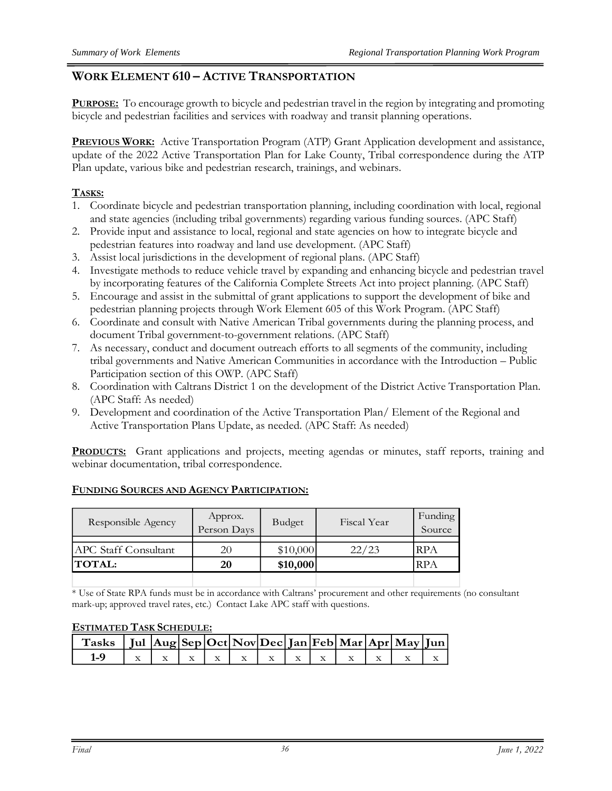# **WORK ELEMENT 610 – ACTIVE TRANSPORTATION**

**PURPOSE:** To encourage growth to bicycle and pedestrian travel in the region by integrating and promoting bicycle and pedestrian facilities and services with roadway and transit planning operations.

**PREVIOUS WORK:** Active Transportation Program (ATP) Grant Application development and assistance, update of the 2022 Active Transportation Plan for Lake County, Tribal correspondence during the ATP Plan update, various bike and pedestrian research, trainings, and webinars.

# **TASKS:**

- 1. Coordinate bicycle and pedestrian transportation planning, including coordination with local, regional and state agencies (including tribal governments) regarding various funding sources. (APC Staff)
- 2. Provide input and assistance to local, regional and state agencies on how to integrate bicycle and pedestrian features into roadway and land use development. (APC Staff)
- 3. Assist local jurisdictions in the development of regional plans. (APC Staff)
- 4. Investigate methods to reduce vehicle travel by expanding and enhancing bicycle and pedestrian travel by incorporating features of the California Complete Streets Act into project planning. (APC Staff)
- 5. Encourage and assist in the submittal of grant applications to support the development of bike and pedestrian planning projects through Work Element 605 of this Work Program. (APC Staff)
- 6. Coordinate and consult with Native American Tribal governments during the planning process, and document Tribal government-to-government relations. (APC Staff)
- 7. As necessary, conduct and document outreach efforts to all segments of the community, including tribal governments and Native American Communities in accordance with the Introduction – Public Participation section of this OWP. (APC Staff)
- 8. Coordination with Caltrans District 1 on the development of the District Active Transportation Plan. (APC Staff: As needed)
- 9. Development and coordination of the Active Transportation Plan/ Element of the Regional and Active Transportation Plans Update, as needed. (APC Staff: As needed)

**PRODUCTS:** Grant applications and projects, meeting agendas or minutes, staff reports, training and webinar documentation, tribal correspondence.

| Responsible Agency          | Approx.<br>Person Days | Budget   | Fiscal Year | Funding<br>Source |
|-----------------------------|------------------------|----------|-------------|-------------------|
| <b>APC Staff Consultant</b> | 20                     | \$10,000 | 22/23       | <b>RPA</b>        |
| <b>TOTAL:</b>               | 20                     | \$10,000 |             | <b>RPA</b>        |
|                             |                        |          |             |                   |

#### **FUNDING SOURCES AND AGENCY PARTICIPATION:**

\* Use of State RPA funds must be in accordance with Caltrans' procurement and other requirements (no consultant mark-up; approved travel rates, etc.) Contact Lake APC staff with questions.

| Tasks   Jul Aug Sep Oct Nov Dec Jan Feb Mar Apr May Jun |  |  |  |  |  |  |
|---------------------------------------------------------|--|--|--|--|--|--|
| $1-9$                                                   |  |  |  |  |  |  |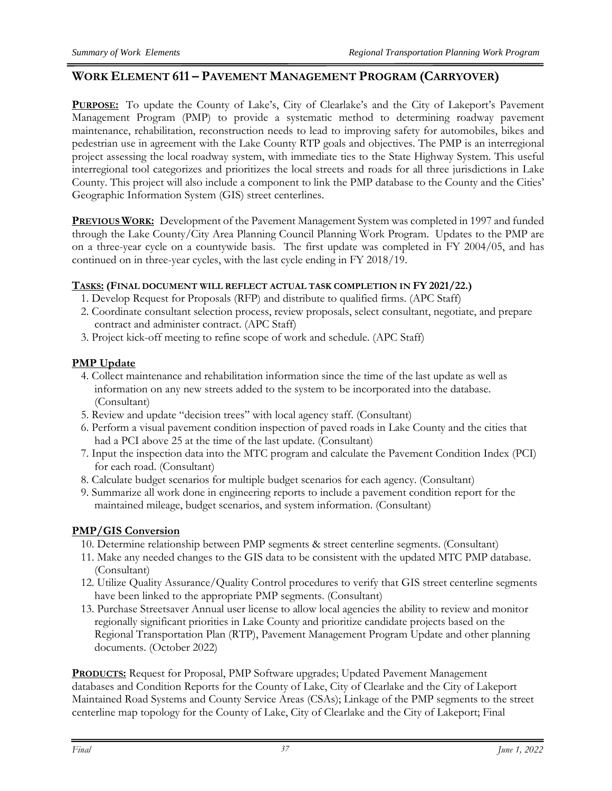# **WORK ELEMENT 611 – PAVEMENT MANAGEMENT PROGRAM (CARRYOVER)**

**PURPOSE:** To update the County of Lake's, City of Clearlake's and the City of Lakeport's Pavement Management Program (PMP) to provide a systematic method to determining roadway pavement maintenance, rehabilitation, reconstruction needs to lead to improving safety for automobiles, bikes and pedestrian use in agreement with the Lake County RTP goals and objectives. The PMP is an interregional project assessing the local roadway system, with immediate ties to the State Highway System. This useful interregional tool categorizes and prioritizes the local streets and roads for all three jurisdictions in Lake County. This project will also include a component to link the PMP database to the County and the Cities' Geographic Information System (GIS) street centerlines.

**PREVIOUS WORK:** Development of the Pavement Management System was completed in 1997 and funded through the Lake County/City Area Planning Council Planning Work Program. Updates to the PMP are on a three-year cycle on a countywide basis. The first update was completed in FY 2004/05, and has continued on in three-year cycles, with the last cycle ending in FY 2018/19.

#### **TASKS: (FINAL DOCUMENT WILL REFLECT ACTUAL TASK COMPLETION IN FY 2021/22.)**

- 1. Develop Request for Proposals (RFP) and distribute to qualified firms. (APC Staff)
- 2. Coordinate consultant selection process, review proposals, select consultant, negotiate, and prepare contract and administer contract. (APC Staff)
- 3. Project kick-off meeting to refine scope of work and schedule. (APC Staff)

#### **PMP Update**

- 4. Collect maintenance and rehabilitation information since the time of the last update as well as information on any new streets added to the system to be incorporated into the database. (Consultant)
- 5. Review and update "decision trees" with local agency staff. (Consultant)
- 6. Perform a visual pavement condition inspection of paved roads in Lake County and the cities that had a PCI above 25 at the time of the last update. (Consultant)
- 7. Input the inspection data into the MTC program and calculate the Pavement Condition Index (PCI) for each road. (Consultant)
- 8. Calculate budget scenarios for multiple budget scenarios for each agency. (Consultant)
- 9. Summarize all work done in engineering reports to include a pavement condition report for the maintained mileage, budget scenarios, and system information. (Consultant)

#### **PMP/GIS Conversion**

- 10. Determine relationship between PMP segments & street centerline segments. (Consultant)
- 11. Make any needed changes to the GIS data to be consistent with the updated MTC PMP database. (Consultant)
- 12. Utilize Quality Assurance/Quality Control procedures to verify that GIS street centerline segments have been linked to the appropriate PMP segments. (Consultant)
- 13. Purchase Streetsaver Annual user license to allow local agencies the ability to review and monitor regionally significant priorities in Lake County and prioritize candidate projects based on the Regional Transportation Plan (RTP), Pavement Management Program Update and other planning documents. (October 2022)

**PRODUCTS:** Request for Proposal, PMP Software upgrades; Updated Pavement Management databases and Condition Reports for the County of Lake, City of Clearlake and the City of Lakeport Maintained Road Systems and County Service Areas (CSAs); Linkage of the PMP segments to the street centerline map topology for the County of Lake, City of Clearlake and the City of Lakeport; Final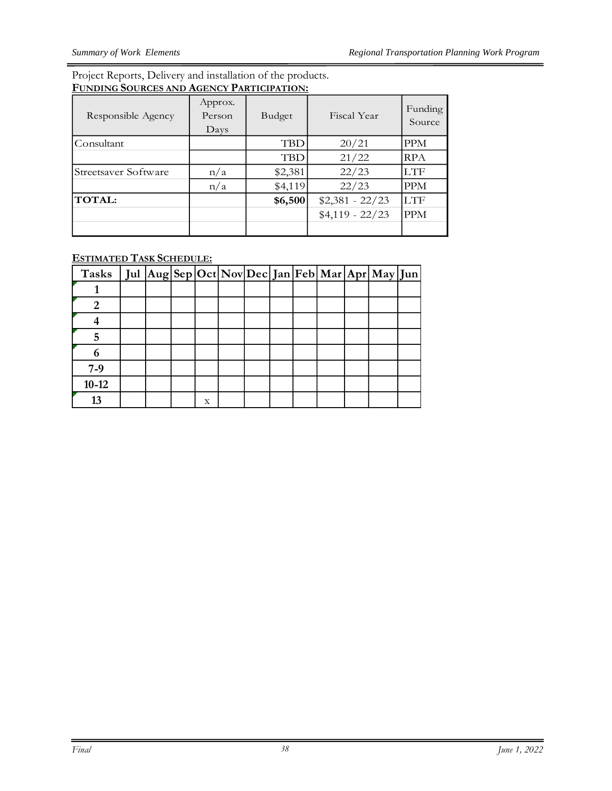#### Project Reports, Delivery and installation of the products. **FUNDING SOURCES AND AGENCY PARTICIPATION:**

| Responsible Agency   | Approx.<br>Person<br>Days | Budget     | Fiscal Year      | Funding<br>Source |
|----------------------|---------------------------|------------|------------------|-------------------|
| Consultant           |                           | <b>TBD</b> | 20/21            | <b>PPM</b>        |
|                      |                           | TBD        | 21/22            | <b>RPA</b>        |
| Streetsaver Software | n/a                       | \$2,381    | 22/23            | <b>LTF</b>        |
|                      | n/a                       | \$4,119    | 22/23            | <b>PPM</b>        |
| <b>TOTAL:</b>        |                           | \$6,500    | $$2,381 - 22/23$ | <b>LTF</b>        |
|                      |                           |            | $$4,119 - 22/23$ | <b>PPM</b>        |
|                      |                           |            |                  |                   |

| Tasks          |  |   |  |  |  | Jul   Aug   Sep   Oct   Nov   Dec   Jan   Feb   Mar   Apr   May   Jun |  |
|----------------|--|---|--|--|--|-----------------------------------------------------------------------|--|
|                |  |   |  |  |  |                                                                       |  |
| $\mathfrak{D}$ |  |   |  |  |  |                                                                       |  |
|                |  |   |  |  |  |                                                                       |  |
| 5              |  |   |  |  |  |                                                                       |  |
|                |  |   |  |  |  |                                                                       |  |
| $7-9$          |  |   |  |  |  |                                                                       |  |
| $10 - 12$      |  |   |  |  |  |                                                                       |  |
| 13             |  | X |  |  |  |                                                                       |  |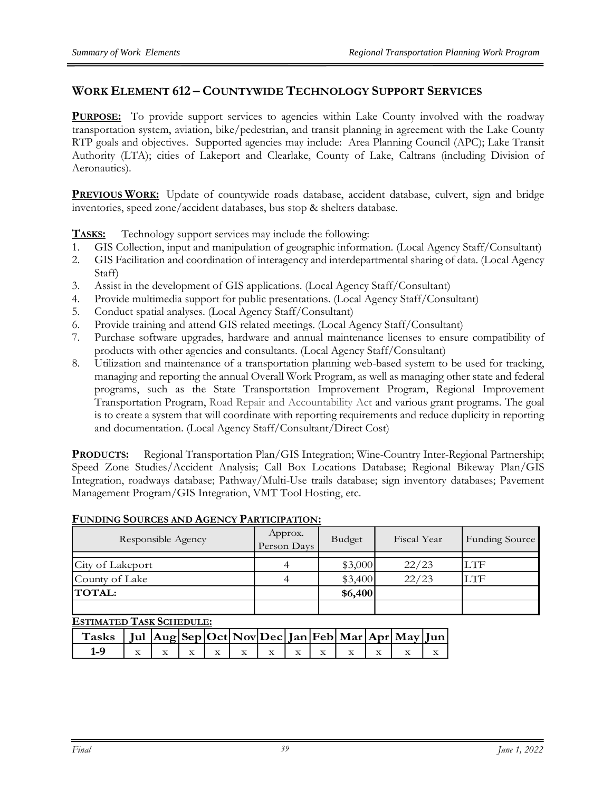## **WORK ELEMENT 612 – COUNTYWIDE TECHNOLOGY SUPPORT SERVICES**

**PURPOSE:** To provide support services to agencies within Lake County involved with the roadway transportation system, aviation, bike/pedestrian, and transit planning in agreement with the Lake County RTP goals and objectives. Supported agencies may include: Area Planning Council (APC); Lake Transit Authority (LTA); cities of Lakeport and Clearlake, County of Lake, Caltrans (including Division of Aeronautics).

**PREVIOUS WORK:** Update of countywide roads database, accident database, culvert, sign and bridge inventories, speed zone/accident databases, bus stop & shelters database.

**TASKS:** Technology support services may include the following:

- 1. GIS Collection, input and manipulation of geographic information. (Local Agency Staff/Consultant)
- 2. GIS Facilitation and coordination of interagency and interdepartmental sharing of data. (Local Agency Staff)
- 3. Assist in the development of GIS applications. (Local Agency Staff/Consultant)
- 4. Provide multimedia support for public presentations. (Local Agency Staff/Consultant)
- 5. Conduct spatial analyses. (Local Agency Staff/Consultant)
- 6. Provide training and attend GIS related meetings. (Local Agency Staff/Consultant)
- 7. Purchase software upgrades, hardware and annual maintenance licenses to ensure compatibility of products with other agencies and consultants. (Local Agency Staff/Consultant)
- 8. Utilization and maintenance of a transportation planning web-based system to be used for tracking, managing and reporting the annual Overall Work Program, as well as managing other state and federal programs, such as the State Transportation Improvement Program, Regional Improvement Transportation Program, Road Repair and Accountability Act and various grant programs. The goal is to create a system that will coordinate with reporting requirements and reduce duplicity in reporting and documentation. (Local Agency Staff/Consultant/Direct Cost)

**PRODUCTS:** Regional Transportation Plan/GIS Integration; Wine-Country Inter-Regional Partnership; Speed Zone Studies/Accident Analysis; Call Box Locations Database; Regional Bikeway Plan/GIS Integration, roadways database; Pathway/Multi-Use trails database; sign inventory databases; Pavement Management Program/GIS Integration, VMT Tool Hosting, etc.

| Responsible Agency | Approx.<br>Person Days | Budget  | Fiscal Year | Funding Source |
|--------------------|------------------------|---------|-------------|----------------|
|                    |                        |         |             |                |
| City of Lakeport   |                        | \$3,000 | 22/23       | LTF            |
| County of Lake     |                        | \$3,400 | 22/23       | LTF            |
| <b>TOTAL:</b>      |                        | \$6,400 |             |                |
|                    |                        |         |             |                |

#### **FUNDING SOURCES AND AGENCY PARTICIPATION:**

| Tasks   Jul $ {\rm Aug} {\rm Sep} {\rm Oct} {\rm Nov} {\rm Dec} {\rm Jan} {\rm Feb} {\rm Mar} {\rm Apr} {\rm May} {\rm Jun} $ |  |  |  |  |  |  |
|-------------------------------------------------------------------------------------------------------------------------------|--|--|--|--|--|--|
| $1-9$                                                                                                                         |  |  |  |  |  |  |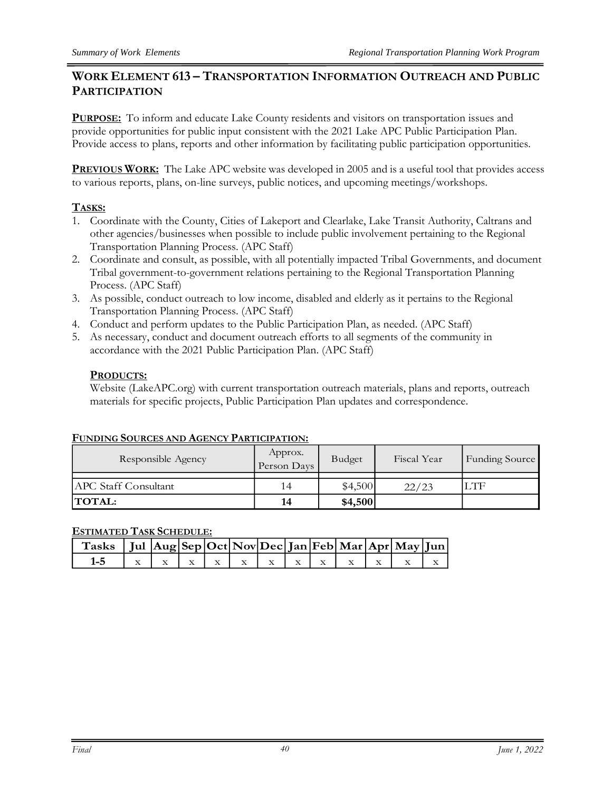# **WORK ELEMENT 613 – TRANSPORTATION INFORMATION OUTREACH AND PUBLIC PARTICIPATION**

**PURPOSE:** To inform and educate Lake County residents and visitors on transportation issues and provide opportunities for public input consistent with the 2021 Lake APC Public Participation Plan. Provide access to plans, reports and other information by facilitating public participation opportunities.

**PREVIOUS WORK:** The Lake APC website was developed in 2005 and is a useful tool that provides access to various reports, plans, on-line surveys, public notices, and upcoming meetings/workshops.

# **TASKS:**

- 1. Coordinate with the County, Cities of Lakeport and Clearlake, Lake Transit Authority, Caltrans and other agencies/businesses when possible to include public involvement pertaining to the Regional Transportation Planning Process. (APC Staff)
- 2. Coordinate and consult, as possible, with all potentially impacted Tribal Governments, and document Tribal government-to-government relations pertaining to the Regional Transportation Planning Process. (APC Staff)
- 3. As possible, conduct outreach to low income, disabled and elderly as it pertains to the Regional Transportation Planning Process. (APC Staff)
- 4. Conduct and perform updates to the Public Participation Plan, as needed. (APC Staff)
- 5. As necessary, conduct and document outreach efforts to all segments of the community in accordance with the 2021 Public Participation Plan. (APC Staff)

#### **PRODUCTS:**

Website (LakeAPC.org) with current transportation outreach materials, plans and reports, outreach materials for specific projects, Public Participation Plan updates and correspondence.

#### **FUNDING SOURCES AND AGENCY PARTICIPATION:**

| Responsible Agency          | Approx.<br>Person Days | Budget  | Fiscal Year | Funding Source |
|-----------------------------|------------------------|---------|-------------|----------------|
|                             |                        |         |             |                |
| <b>APC Staff Consultant</b> | 14                     | \$4,500 | 22/23       | LTF            |
| <b>TOTAL:</b>               | 14                     | \$4,500 |             |                |

| Tasks   Jul $ {\rm Aug} {\rm Sep} {\rm Oct} {\rm Nov} {\rm Dec} {\rm Jan} {\rm Feb} {\rm Mar} {\rm Apr} {\rm May} {\rm Jun} $ |  |  |  |  |  |  |
|-------------------------------------------------------------------------------------------------------------------------------|--|--|--|--|--|--|
| 1-5 $x \mid x \mid x \mid x \mid x \mid x \mid x \mid x \mid x \mid x \mid x \mid x \mid x \mid x$                            |  |  |  |  |  |  |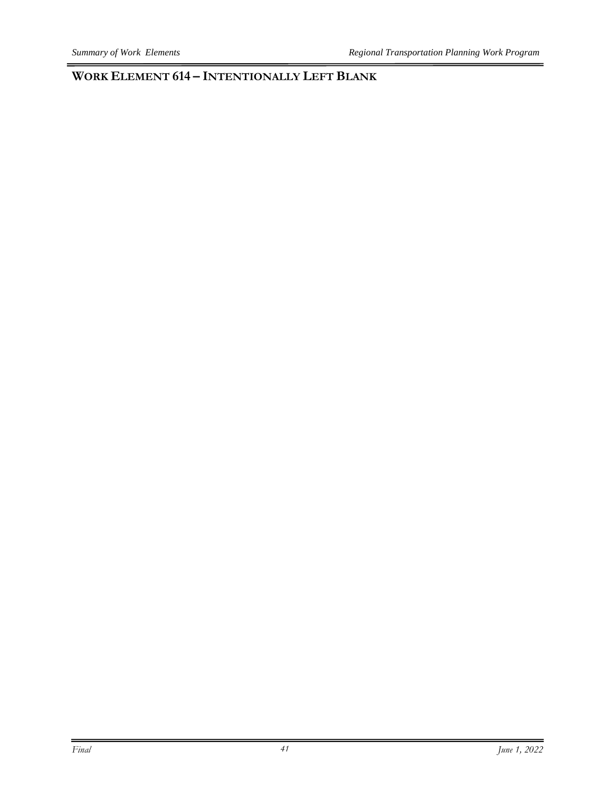**WORK ELEMENT 614 – INTENTIONALLY LEFT BLANK**

 $\equiv$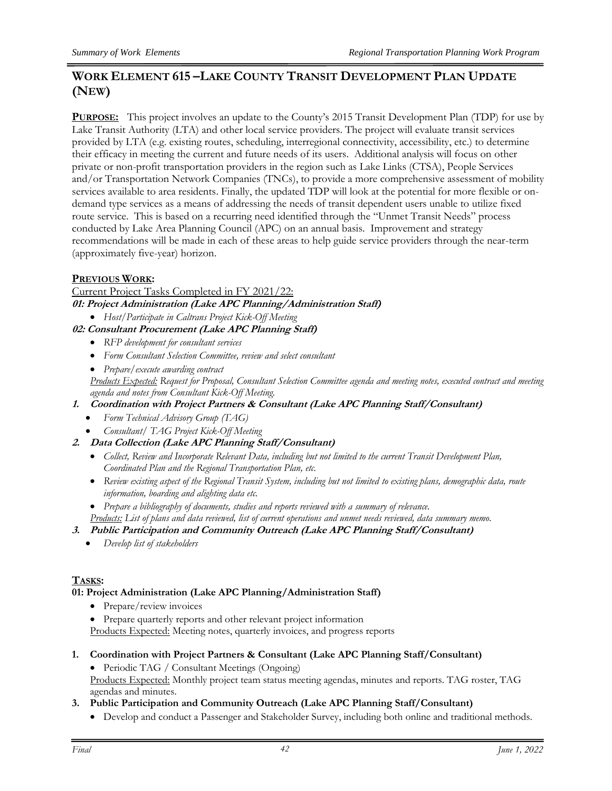# **WORK ELEMENT 615 –LAKE COUNTY TRANSIT DEVELOPMENT PLAN UPDATE (NEW)**

**PURPOSE:** This project involves an update to the County's 2015 Transit Development Plan (TDP) for use by Lake Transit Authority (LTA) and other local service providers. The project will evaluate transit services provided by LTA (e.g. existing routes, scheduling, interregional connectivity, accessibility, etc.) to determine their efficacy in meeting the current and future needs of its users. Additional analysis will focus on other private or non-profit transportation providers in the region such as Lake Links (CTSA), People Services and/or Transportation Network Companies (TNCs), to provide a more comprehensive assessment of mobility services available to area residents. Finally, the updated TDP will look at the potential for more flexible or ondemand type services as a means of addressing the needs of transit dependent users unable to utilize fixed route service. This is based on a recurring need identified through the "Unmet Transit Needs" process conducted by Lake Area Planning Council (APC) on an annual basis. Improvement and strategy recommendations will be made in each of these areas to help guide service providers through the near-term (approximately five-year) horizon.

#### **PREVIOUS WORK:**

Current Project Tasks Completed in FY 2021/22: **01: Project Administration (Lake APC Planning/Administration Staff)**

- *Host/Participate in Caltrans Project Kick-Off Meeting*
- **02: Consultant Procurement (Lake APC Planning Staff)**
	- *RFP development for consultant services*
	- *Form Consultant Selection Committee, review and select consultant*
	- *Prepare/execute awarding contract*

*Products Expected: Request for Proposal, Consultant Selection Committee agenda and meeting notes, executed contract and meeting agenda and notes from Consultant Kick-Off Meeting.*

- **1. Coordination with Project Partners & Consultant (Lake APC Planning Staff/Consultant)**
	- *Form Technical Advisory Group (TAG)*
	- *Consultant/ TAG Project Kick-Off Meeting*
- **2. Data Collection (Lake APC Planning Staff/Consultant)**
	- *Collect, Review and Incorporate Relevant Data, including but not limited to the current Transit Development Plan, Coordinated Plan and the Regional Transportation Plan, etc.*
	- Review existing aspect of the Regional Transit System, including but not limited to existing plans, demographic data, route *information, boarding and alighting data etc.*
	- *Prepare a bibliography of documents, studies and reports reviewed with a summary of relevance.*

*Products: List of plans and data reviewed, list of current operations and unmet needs reviewed, data summary memo.* 

#### **3. Public Participation and Community Outreach (Lake APC Planning Staff/Consultant)**

• *Develop list of stakeholders*

#### **TASKS:**

#### **01: Project Administration (Lake APC Planning/Administration Staff)**

- Prepare/review invoices
- Prepare quarterly reports and other relevant project information

Products Expected: Meeting notes, quarterly invoices, and progress reports

**1. Coordination with Project Partners & Consultant (Lake APC Planning Staff/Consultant)**

• Periodic TAG / Consultant Meetings (Ongoing) Products Expected: Monthly project team status meeting agendas, minutes and reports. TAG roster, TAG agendas and minutes.

- **3. Public Participation and Community Outreach (Lake APC Planning Staff/Consultant)**
	- Develop and conduct a Passenger and Stakeholder Survey, including both online and traditional methods.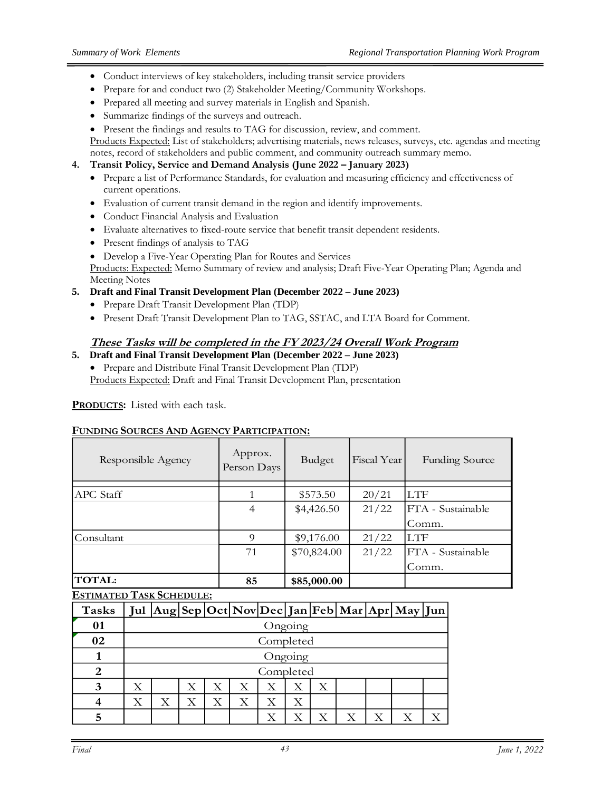- Conduct interviews of key stakeholders, including transit service providers
- Prepare for and conduct two (2) Stakeholder Meeting/Community Workshops.
- Prepared all meeting and survey materials in English and Spanish.
- Summarize findings of the surveys and outreach.
- Present the findings and results to TAG for discussion, review, and comment.

Products Expected: List of stakeholders; advertising materials, news releases, surveys, etc. agendas and meeting notes, record of stakeholders and public comment, and community outreach summary memo.

#### **4. Transit Policy, Service and Demand Analysis (June 2022 – January 2023)**

- Prepare a list of Performance Standards, for evaluation and measuring efficiency and effectiveness of current operations.
- Evaluation of current transit demand in the region and identify improvements.
- Conduct Financial Analysis and Evaluation
- Evaluate alternatives to fixed-route service that benefit transit dependent residents.
- Present findings of analysis to TAG
- Develop a Five-Year Operating Plan for Routes and Services

Products: Expected: Memo Summary of review and analysis; Draft Five-Year Operating Plan; Agenda and Meeting Notes

#### **5. Draft and Final Transit Development Plan (December 2022 – June 2023)**

- Prepare Draft Transit Development Plan (TDP)
- Present Draft Transit Development Plan to TAG, SSTAC, and LTA Board for Comment.

# **These Tasks will be completed in the FY 2023/24 Overall Work Program**

#### **5. Draft and Final Transit Development Plan (December 2022 – June 2023)**

• Prepare and Distribute Final Transit Development Plan (TDP) Products Expected: Draft and Final Transit Development Plan, presentation

**PRODUCTS:** Listed with each task.

#### **FUNDING SOURCES AND AGENCY PARTICIPATION:**

| Responsible Agency | Approx.<br>Person Days | Budget      | Fiscal Year | <b>Funding Source</b> |
|--------------------|------------------------|-------------|-------------|-----------------------|
|                    |                        |             |             |                       |
| APC Staff          | 1                      | \$573.50    | 20/21       | <b>LTF</b>            |
|                    | 4                      | \$4,426.50  | 21/22       | FTA - Sustainable     |
|                    |                        |             |             | Comm.                 |
| Consultant         | 9                      | \$9,176.00  | 21/22       | LTF                   |
|                    | 71                     | \$70,824.00 | 21/22       | FTA - Sustainable     |
|                    |                        |             |             | Comm.                 |
| <b>TOTAL:</b>      | 85                     | \$85,000.00 |             |                       |

| <b>Tasks</b> |   |           |   |   |   |           |   |  |  |   | Jul Aug Sep Oct Nov Dec Jan Feb Mar Apr May Jun |  |
|--------------|---|-----------|---|---|---|-----------|---|--|--|---|-------------------------------------------------|--|
| 01           |   | Ongoing   |   |   |   |           |   |  |  |   |                                                 |  |
| 02           |   | Completed |   |   |   |           |   |  |  |   |                                                 |  |
|              |   | Ongoing   |   |   |   |           |   |  |  |   |                                                 |  |
| 2            |   |           |   |   |   | Completed |   |  |  |   |                                                 |  |
|              | X |           | Х | Х | Х |           | Х |  |  |   |                                                 |  |
|              | Х | Х         | Х | Х | Х | Х         | X |  |  |   |                                                 |  |
|              |   |           |   |   |   |           |   |  |  | Х | Х                                               |  |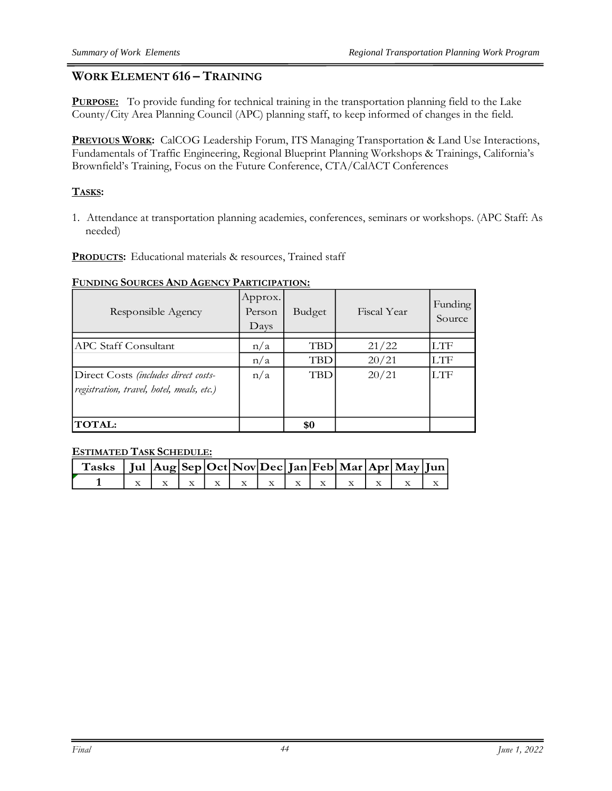# **WORK ELEMENT 616 – TRAINING**

**PURPOSE:** To provide funding for technical training in the transportation planning field to the Lake County/City Area Planning Council (APC) planning staff, to keep informed of changes in the field.

**PREVIOUS WORK:** CalCOG Leadership Forum, ITS Managing Transportation & Land Use Interactions, Fundamentals of Traffic Engineering, Regional Blueprint Planning Workshops & Trainings, California's Brownfield's Training, Focus on the Future Conference, CTA/CalACT Conferences

### **TASKS:**

1. Attendance at transportation planning academies, conferences, seminars or workshops. (APC Staff: As needed)

**PRODUCTS:** Educational materials & resources, Trained staff

#### **FUNDING SOURCES AND AGENCY PARTICIPATION:**

| Responsible Agency                        | Approx.<br>Person<br>$_{\text{Days}}$ | <b>Budget</b> | Fiscal Year | Funding<br>Source |
|-------------------------------------------|---------------------------------------|---------------|-------------|-------------------|
|                                           |                                       |               |             | LTF               |
| <b>APC Staff Consultant</b>               | n/a                                   | <b>TBD</b>    | 21/22       |                   |
|                                           | n/a                                   | <b>TBD</b>    | 20/21       | LTF               |
| Direct Costs (includes direct costs-      | n/a                                   | TBD           | 20/21       | LTF               |
| registration, travel, hotel, meals, etc.) |                                       |               |             |                   |
|                                           |                                       |               |             |                   |
| <b>TOTAL:</b>                             |                                       | \$0           |             |                   |

| Tasks   Jul $ {\rm Aug} {\rm Sep} {\rm Oct} {\rm Nov} {\rm Dec} {\rm Jan} {\rm Feb} {\rm Mar} {\rm Apr} {\rm May} {\rm Jun} $ |  |  |  |  |  |  |
|-------------------------------------------------------------------------------------------------------------------------------|--|--|--|--|--|--|
|                                                                                                                               |  |  |  |  |  |  |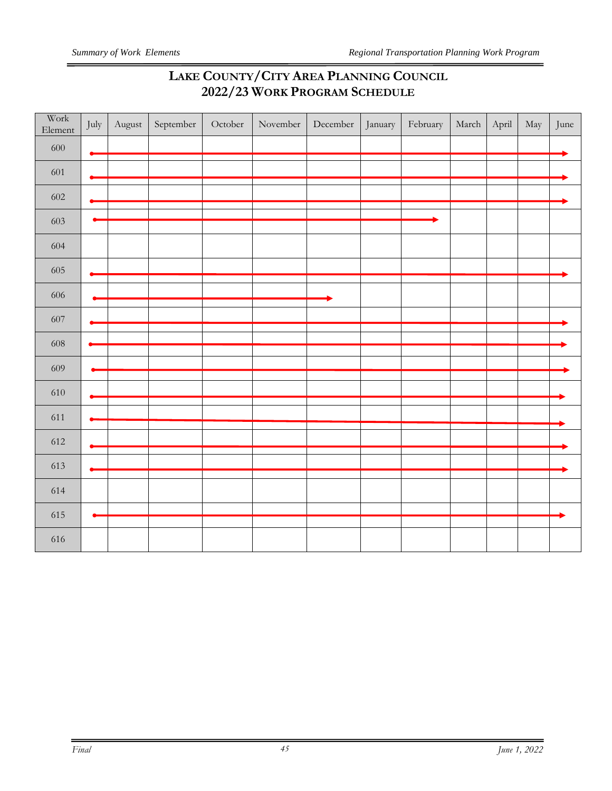# **LAKE COUNTY/CITY AREA PLANNING COUNCIL 2022/23 WORK PROGRAM SCHEDULE**

| Work<br>Element | July | August | September | October | November | $\mbox{December}$ | January | February | March | April | May | June |
|-----------------|------|--------|-----------|---------|----------|-------------------|---------|----------|-------|-------|-----|------|
| 600             |      |        |           |         |          |                   |         |          |       |       |     |      |
| 601             |      |        |           |         |          |                   |         |          |       |       |     |      |
| 602             |      |        |           |         |          |                   |         |          |       |       |     |      |
| 603             |      |        |           |         |          |                   |         |          |       |       |     |      |
| 604             |      |        |           |         |          |                   |         |          |       |       |     |      |
| 605             |      |        |           |         |          |                   |         |          |       |       |     |      |
| $606\,$         |      |        |           |         |          |                   |         |          |       |       |     |      |
| 607             |      |        |           |         |          |                   |         |          |       |       |     |      |
| 608             |      |        |           |         |          |                   |         |          |       |       |     |      |
| 609             |      |        |           |         |          |                   |         |          |       |       |     |      |
| 610             |      |        |           |         |          |                   |         |          |       |       |     |      |
| 611             |      |        |           |         |          |                   |         |          |       |       |     |      |
| 612             |      |        |           |         |          |                   |         |          |       |       |     |      |
|                 |      |        |           |         |          |                   |         |          |       |       |     |      |
| 613             |      |        |           |         |          |                   |         |          |       |       |     |      |
| 614             |      |        |           |         |          |                   |         |          |       |       |     |      |
| 615             |      |        |           |         |          |                   |         |          |       |       |     |      |
| 616             |      |        |           |         |          |                   |         |          |       |       |     |      |

 $=$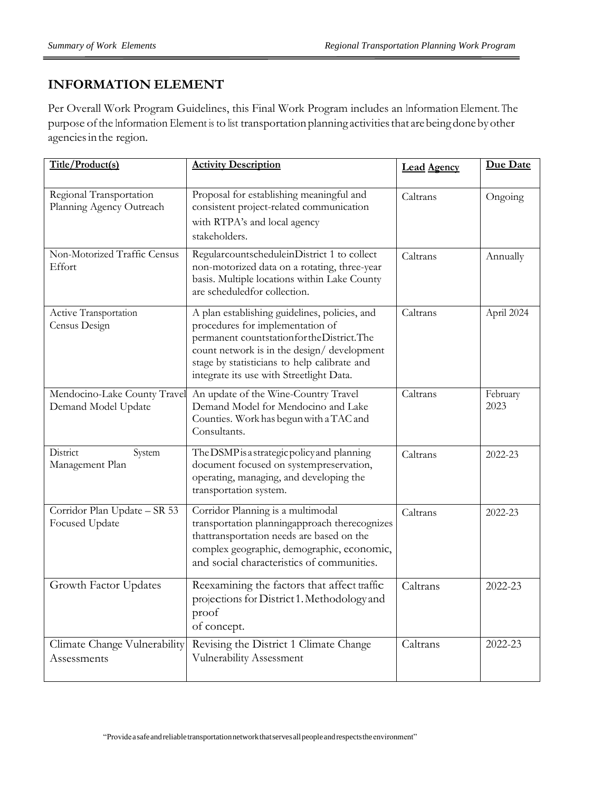# **INFORMATION ELEMENT**

Per Overall Work Program Guidelines, this Final Work Program includes an Information Element. The purpose of the Information Element is to list transportation planning activities that are being done by other agenciesinthe region.

| Title/Product(s)                                    | <b>Activity Description</b>                                                                                                                                                                                                                                                | <b>Lead Agency</b> | <b>Due Date</b>  |
|-----------------------------------------------------|----------------------------------------------------------------------------------------------------------------------------------------------------------------------------------------------------------------------------------------------------------------------------|--------------------|------------------|
| Regional Transportation<br>Planning Agency Outreach | Proposal for establishing meaningful and<br>consistent project-related communication<br>with RTPA's and local agency<br>stakeholders.                                                                                                                                      | Caltrans           | Ongoing          |
| Non-Motorized Traffic Census<br>Effort              | RegularcountscheduleinDistrict 1 to collect<br>non-motorized data on a rotating, three-year<br>basis. Multiple locations within Lake County<br>are scheduledfor collection.                                                                                                | Caltrans           | Annually         |
| Active Transportation<br>Census Design              | A plan establishing guidelines, policies, and<br>procedures for implementation of<br>permanent countstationfor the District. The<br>count network is in the design/development<br>stage by statisticians to help calibrate and<br>integrate its use with Streetlight Data. | Caltrans           | April 2024       |
| Mendocino-Lake County Travel<br>Demand Model Update | An update of the Wine-Country Travel<br>Demand Model for Mendocino and Lake<br>Counties. Work has begun with a TAC and<br>Consultants.                                                                                                                                     | Caltrans           | February<br>2023 |
| District<br>System<br>Management Plan               | The DSMP is a strategic policy and planning<br>document focused on systempreservation,<br>operating, managing, and developing the<br>transportation system.                                                                                                                | Caltrans           | 2022-23          |
| Corridor Plan Update - SR 53<br>Focused Update      | Corridor Planning is a multimodal<br>transportation planningapproach therecognizes<br>thattransportation needs are based on the<br>complex geographic, demographic, economic,<br>and social characteristics of communities.                                                | Caltrans           | 2022-23          |
| Growth Factor Updates                               | Reexamining the factors that affect traffic<br>projections for District 1. Methodology and<br>proof<br>of concept.                                                                                                                                                         | Caltrans           | 2022-23          |
| Climate Change Vulnerability<br>Assessments         | Revising the District 1 Climate Change<br>Vulnerability Assessment                                                                                                                                                                                                         | Caltrans           | 2022-23          |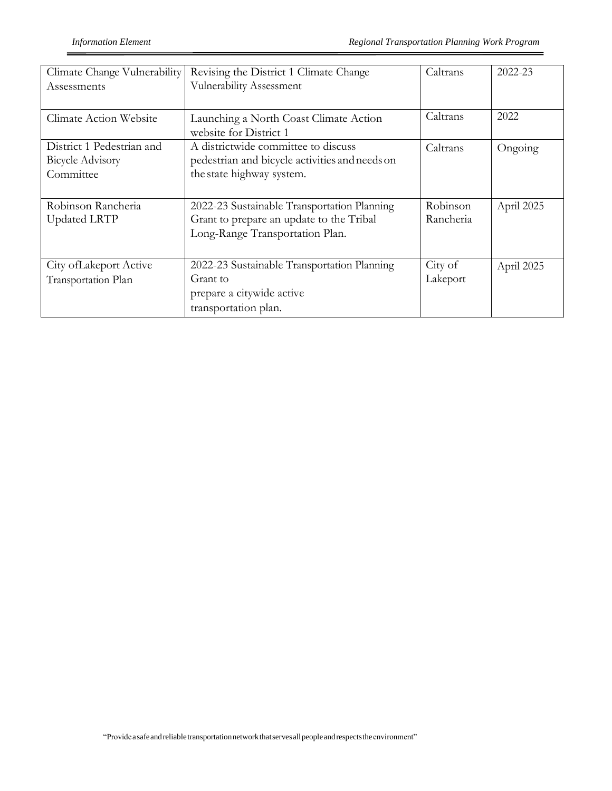| Climate Change Vulnerability<br>Assessments                       | Revising the District 1 Climate Change<br>Vulnerability Assessment                                                         | Caltrans              | 2022-23    |
|-------------------------------------------------------------------|----------------------------------------------------------------------------------------------------------------------------|-----------------------|------------|
| <b>Climate Action Website</b>                                     | Launching a North Coast Climate Action<br>website for District 1                                                           | Caltrans              | 2022       |
| District 1 Pedestrian and<br><b>Bicycle Advisory</b><br>Committee | A districtwide committee to discuss<br>pedestrian and bicycle activities and needs on<br>the state highway system.         | Caltrans              | Ongoing    |
| Robinson Rancheria<br><b>Updated LRTP</b>                         | 2022-23 Sustainable Transportation Planning<br>Grant to prepare an update to the Tribal<br>Long-Range Transportation Plan. | Robinson<br>Rancheria | April 2025 |
| City of Lakeport Active<br>Transportation Plan                    | 2022-23 Sustainable Transportation Planning<br>Grant to<br>prepare a citywide active<br>transportation plan.               | City of<br>Lakeport   | April 2025 |